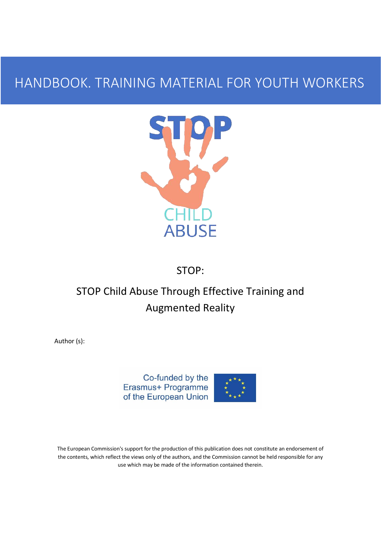# HANDBOOK. TRAINING MATERIAL FOR YOUTH WORKERS



# STOP:

# STOP Child Abuse Through Effective Training and Augmented Reality

Author (s):

Co-funded by the Erasmus+ Programme of the European Union



The European Commission's support for the production of this publication does not constitute an endorsement of the contents, which reflect the views only of the authors, and the Commission cannot be held responsible for any use which may be made of the information contained therein.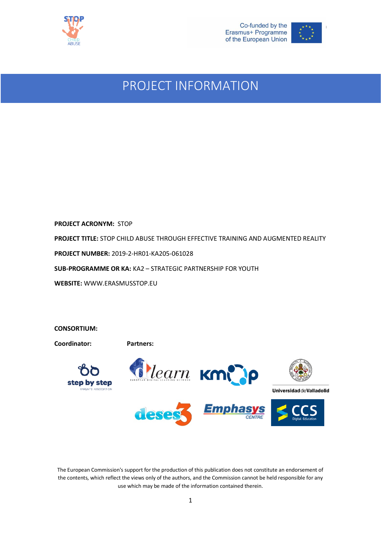



# PROJECT INFORMATION

**PROJECT ACRONYM:** STOP

**PROJECT TITLE:** STOP CHILD ABUSE THROUGH EFFECTIVE TRAINING AND AUGMENTED REALITY

**PROJECT NUMBER:** 2019-2-HR01-KA205-061028

**SUB-PROGRAMME OR KA:** KA2 – STRATEGIC PARTNERSHIP FOR YOUTH

**WEBSITE:** WWW.ERASMUSSTOP.EU

**CONSORTIUM:** 

**Coordinator: Partners:**



The European Commission's support for the production of this publication does not constitute an endorsement of the contents, which reflect the views only of the authors, and the Commission cannot be held responsible for any use which may be made of the information contained therein.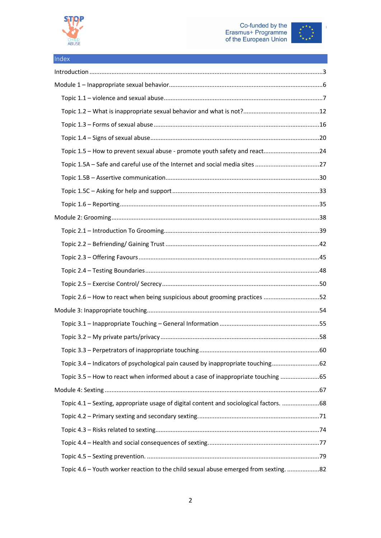

Index



| Topic 1.5 - How to prevent sexual abuse - promote youth safety and react24             |  |
|----------------------------------------------------------------------------------------|--|
| Topic 1.5A - Safe and careful use of the Internet and social media sites 27            |  |
|                                                                                        |  |
|                                                                                        |  |
|                                                                                        |  |
|                                                                                        |  |
|                                                                                        |  |
|                                                                                        |  |
|                                                                                        |  |
|                                                                                        |  |
|                                                                                        |  |
| Topic 2.6 - How to react when being suspicious about grooming practices 52             |  |
|                                                                                        |  |
|                                                                                        |  |
|                                                                                        |  |
|                                                                                        |  |
| Topic 3.4 - Indicators of psychological pain caused by inappropriate touching62        |  |
| Topic 3.5 - How to react when informed about a case of inappropriate touching 65       |  |
|                                                                                        |  |
| Topic 4.1 - Sexting, appropriate usage of digital content and sociological factors. 68 |  |
|                                                                                        |  |
|                                                                                        |  |
|                                                                                        |  |
|                                                                                        |  |
| Topic 4.6 - Youth worker reaction to the child sexual abuse emerged from sexting. 82   |  |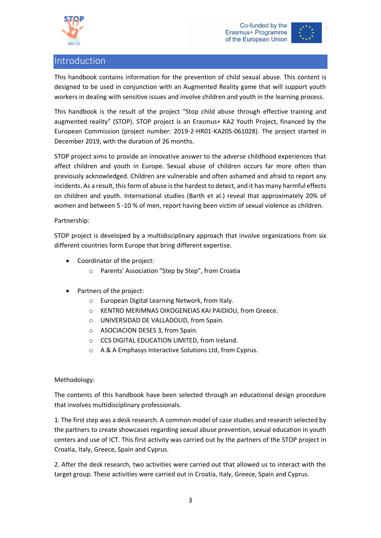



# **Introduction**

This handbook contains information for the prevention of child sexual abuse. This content is designed to be used in conjunction with an Augmented Reality game that will support youth workers in dealing with sensitive issues and involve children and youth in the learning process.

This handbook is the result of the project "Stop child abuse through effective training and augmented reality" (STOP). STOP project is an Erasmus+ KA2 Youth Project, financed by the European Commission (project number: 2019-2-HR01-KA205-061028). The project started in December 2019, with the duration of 26 months.

STOP project aims to provide an innovative answer to the adverse childhood experiences that affect children and youth in Europe. Sexual abuse of children occurs far more often than previously acknowledged. Children are vulnerable and often ashamed and afraid to report any incidents. As a result, this form of abuse is the hardest to detect, and it has many harmful effects on children and youth. International studies (Barth et al.) reveal that approximately 20% of women and between 5 -10 % of men, report having been victim of sexual violence as children.

#### Partnership:

STOP project is developed by a multidisciplinary approach that involve organizations from six different countries form Europe that bring different expertise.

- Coordinator of the project:
	- o Parents' Association "Step by Step", from Croatia
- Partners of the project:
	- o European Digital Learning Network, from Italy.
	- o KENTRO MERIMNAS OIKOGENEIAS KAI PAIDIOU, from Greece.
	- o UNIVERSIDAD DE VALLADOLID, from Spain.
	- o ASOCIACION DESES 3, from Spain.
	- o CCS DIGITAL EDUCATION LIMITED, from Ireland.
	- o A & A Emphasys Interactive Solutions Ltd, from Cyprus.

#### Methodology:

The contents of this handbook have been selected through an educational design procedure that involves multidisciplinary professionals.

1. The first step was a desk research. A common model of case studies and research selected by the partners to create showcases regarding sexual abuse prevention, sexual education in youth centers and use of ICT. This first activity was carried out by the partners of the STOP project in Croatia, Italy, Greece, Spain and Cyprus.

2. After the desk research, two activities were carried out that allowed us to interact with the target group. These activities were carried out in Croatia, Italy, Greece, Spain and Cyprus.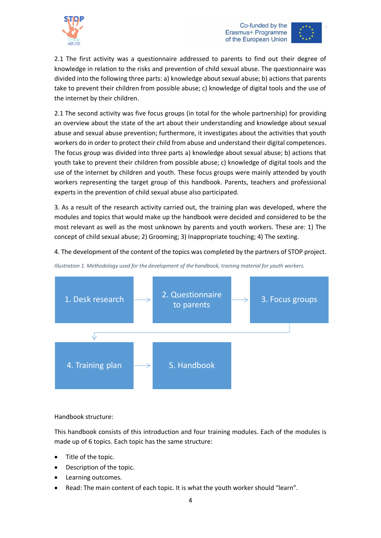



2.1 The first activity was a questionnaire addressed to parents to find out their degree of knowledge in relation to the risks and prevention of child sexual abuse. The questionnaire was divided into the following three parts: a) knowledge about sexual abuse; b) actions that parents take to prevent their children from possible abuse; c) knowledge of digital tools and the use of the internet by their children.

2.1 The second activity was five focus groups (in total for the whole partnership) for providing an overview about the state of the art about their understanding and knowledge about sexual abuse and sexual abuse prevention; furthermore, it investigates about the activities that youth workers do in order to protect their child from abuse and understand their digital competences. The focus group was divided into three parts a) knowledge about sexual abuse; b) actions that youth take to prevent their children from possible abuse; c) knowledge of digital tools and the use of the internet by children and youth. These focus groups were mainly attended by youth workers representing the target group of this handbook. Parents, teachers and professional experts in the prevention of child sexual abuse also participated.

3. As a result of the research activity carried out, the training plan was developed, where the modules and topics that would make up the handbook were decided and considered to be the most relevant as well as the most unknown by parents and youth workers. These are: 1) The concept of child sexual abuse; 2) Grooming; 3) Inappropriate touching; 4) The sexting.

4. The development of the content of the topics was completed by the partners of STOP project.



*Illustration 1. Methodology used for the development of the handbook, training material for youth workers.*

#### Handbook structure:

This handbook consists of this introduction and four training modules. Each of the modules is made up of 6 topics. Each topic has the same structure:

- Title of the topic.
- Description of the topic.
- Learning outcomes.
- Read: The main content of each topic. It is what the youth worker should "learn".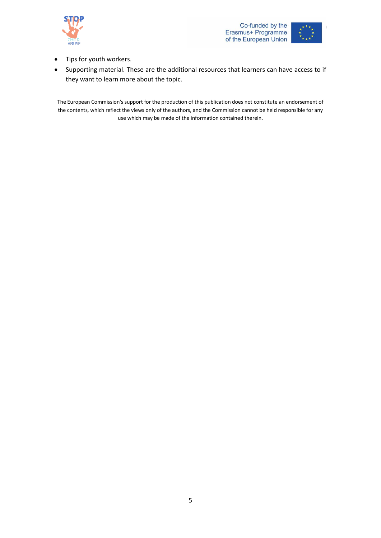





- Tips for youth workers.
- Supporting material. These are the additional resources that learners can have access to if they want to learn more about the topic.

The European Commission's support for the production of this publication does not constitute an endorsement of the contents, which reflect the views only of the authors, and the Commission cannot be held responsible for any use which may be made of the information contained therein.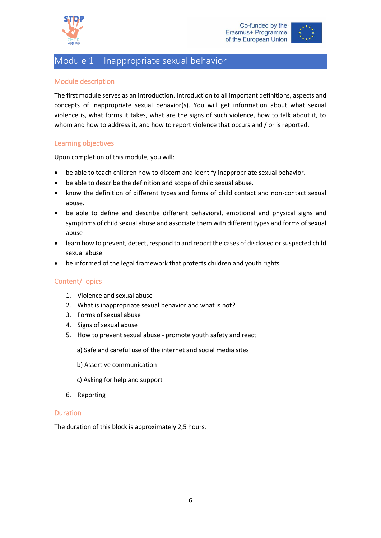



# Module 1 – Inappropriate sexual behavior

# Module description

The first module serves as an introduction. Introduction to all important definitions, aspects and concepts of inappropriate sexual behavior(s). You will get information about what sexual violence is, what forms it takes, what are the signs of such violence, how to talk about it, to whom and how to address it, and how to report violence that occurs and / or is reported.

# Learning objectives

Upon completion of this module, you will:

- be able to teach children how to discern and identify inappropriate sexual behavior.
- be able to describe the definition and scope of child sexual abuse.
- know the definition of different types and forms of child contact and non-contact sexual abuse.
- be able to define and describe different behavioral, emotional and physical signs and symptoms of child sexual abuse and associate them with different types and forms of sexual abuse
- learn how to prevent, detect, respond to and report the cases of disclosed or suspected child sexual abuse
- be informed of the legal framework that protects children and youth rights

# Content/Topics

- 1. Violence and sexual abuse
- 2. What is inappropriate sexual behavior and what is not?
- 3. Forms of sexual abuse
- 4. Signs of sexual abuse
- 5. How to prevent sexual abuse promote youth safety and react

a) Safe and careful use of the internet and social media sites

- b) Assertive communication
- c) Asking for help and support
- 6. Reporting

#### Duration

The duration of this block is approximately 2,5 hours.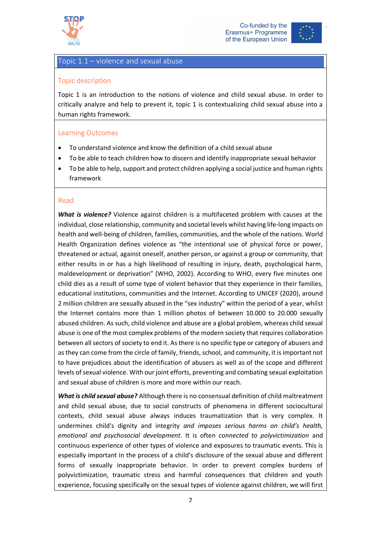



# Topic 1.1 – violence and sexual abuse

# Topic description

Topic 1 is an introduction to the notions of violence and child sexual abuse. In order to critically analyze and help to prevent it, topic 1 is contextualizing child sexual abuse into a human rights framework.

# Learning Outcomes

- To understand violence and know the definition of a child sexual abuse
- To be able to teach children how to discern and identify inappropriate sexual behavior
- To be able to help, support and protect children applying a social justice and human rights framework

#### Read

*What is violence?* Violence against children is a multifaceted problem with causes at the individual, close relationship, community and societal levels whilst having life-long impacts on health and well-being of children, families, communities, and the whole of the nations. World Health Organization defines violence as "the intentional use of physical force or power, threatened or actual, against oneself, another person, or against a group or community, that either results in or has a high likelihood of resulting in injury, death, psychological harm, maldevelopment or deprivation" (WHO, 2002). According to WHO, every five minutes one child dies as a result of some type of violent behavior that they experience in their families, educational institutions, communities and the Internet. According to UNICEF (2020), around 2 million children are sexually abused in the "sex industry" within the period of a year, whilst the Internet contains more than 1 million photos of between 10.000 to 20.000 sexually abused children. As such, child violence and abuse are a global problem, whereas child sexual abuse is one of the most complex problems of the modern society that requires collaboration between all sectors of society to end it. As there is no specific type or category of abusers and as they can come from the circle of family, friends, school, and community, it is important not to have prejudices about the identification of abusers as well as of the scope and different levels of sexual violence. With our joint efforts, preventing and combating sexual exploitation and sexual abuse of children is more and more within our reach.

*What is child sexual abuse?* Although there is no consensual definition of child maltreatment and child sexual abuse*,* due to social constructs of phenomena in different sociocultural contexts, child sexual abuse always induces traumatization that is very complex. It undermines child's dignity and integrity *and imposes serious harms on child's health, emotional and psychosocial development*. It is often *connected to polyvictimization* and continuous experience of other types of violence and exposures to traumatic events. This is especially important in the process of a child's disclosure of the sexual abuse and different forms of sexually inappropriate behavior. In order to prevent complex burdens of polyvictimization, traumatic stress and harmful consequences that children and youth experience, focusing specifically on the sexual types of violence against children, we will first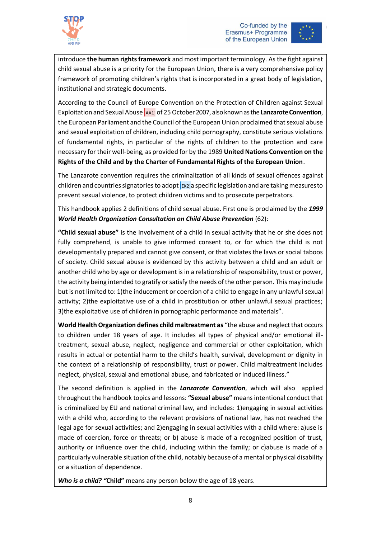



introduce **the human rights framework** and most important terminology. As the fight against child sexual abuse is a priority for the European Union, there is a very comprehensive policy framework of promoting children's rights that is incorporated in a great body of legislation, institutional and strategic documents.

According to the Council of Europe Convention on the Protection of Children against Sexual Exploitation and Sexual Abuse [AA1] of 25 October 2007, also known as the **Lanzarote Convention**, the European Parliament and the Council of the European Union proclaimed that sexual abuse and sexual exploitation of children, including child pornography, constitute serious violations of fundamental rights, in particular of the rights of children to the protection and care necessary for their well-being, as provided for by the 1989 **United Nations Convention on the Rights of the Child and by the Charter of Fundamental Rights of the European Union**.

The Lanzarote convention requires the criminalization of all kinds of sexual offences against children and countries signatories to adopt  $\frac{1}{|EKZ|}$  specific legislation and are taking measures to prevent sexual violence, to protect children victims and to prosecute perpetrators.

This handbook applies 2 definitions of child sexual abuse. First one is proclaimed by the *1999 World Health Organization Consultation on Child Abuse Prevention* (62):

**"Child sexual abuse"** is the involvement of a child in sexual activity that he or she does not fully comprehend, is unable to give informed consent to, or for which the child is not developmentally prepared and cannot give consent, or that violates the laws or social taboos of society. Child sexual abuse is evidenced by this activity between a child and an adult or another child who by age or development is in a relationship of responsibility, trust or power, the activity being intended to gratify or satisfy the needs of the other person. This may include but is not limited to: 1)the inducement or coercion of a child to engage in any unlawful sexual activity; 2)the exploitative use of a child in prostitution or other unlawful sexual practices; 3)the exploitative use of children in pornographic performance and materials".

**World Health Organization defines child maltreatment as** "the abuse and neglect that occurs to children under 18 years of age. It includes all types of physical and/or emotional illtreatment, sexual abuse, neglect, negligence and commercial or other exploitation, which results in actual or potential harm to the child's health, survival, development or dignity in the context of a relationship of responsibility, trust or power. Child maltreatment includes neglect, physical, sexual and emotional abuse, and fabricated or induced illness."

The second definition is applied in the *Lanzarote Convention*, which will also applied throughout the handbook topics and lessons: **"Sexual abuse"** means intentional conduct that is criminalized by EU and national criminal law, and includes: 1)engaging in sexual activities with a child who, according to the relevant provisions of national law, has not reached the legal age for sexual activities; and 2)engaging in sexual activities with a child where: a)use is made of coercion, force or threats; or b) abuse is made of a recognized position of trust, authority or influence over the child, including within the family; or c)abuse is made of a particularly vulnerable situation of the child, notably because of a mental or physical disability or a situation of dependence.

*Who is a child? "***Child"** means any person below the age of 18 years.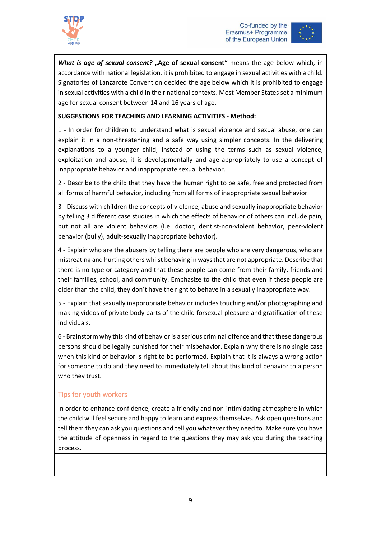



**What is age of sexual consent? "Age of sexual consent**" means the age below which, in accordance with national legislation, it is prohibited to engage in sexual activities with a child. Signatories of Lanzarote Convention decided the age below which it is prohibited to engage in sexual activities with a child in their national contexts. Most Member States set a minimum age for sexual consent between 14 and 16 years of age.

#### **SUGGESTIONS FOR TEACHING AND LEARNING ACTIVITIES - Method:**

1 - In order for children to understand what is sexual violence and sexual abuse, one can explain it in a non-threatening and a safe way using simpler concepts. In the delivering explanations to a younger child, instead of using the terms such as sexual violence, exploitation and abuse, it is developmentally and age-appropriately to use a concept of inappropriate behavior and inappropriate sexual behavior.

2 - Describe to the child that they have the human right to be safe, free and protected from all forms of harmful behavior, including from all forms of inappropriate sexual behavior.

3 - Discuss with children the concepts of violence, abuse and sexually inappropriate behavior by telling 3 different case studies in which the effects of behavior of others can include pain, but not all are violent behaviors (i.e. doctor, dentist-non-violent behavior, peer-violent behavior (bully), adult-sexually inappropriate behavior).

4 - Explain who are the abusers by telling there are people who are very dangerous, who are mistreating and hurting others whilst behaving in ways that are not appropriate. Describe that there is no type or category and that these people can come from their family, friends and their families, school, and community. Emphasize to the child that even if these people are older than the child, they don't have the right to behave in a sexually inappropriate way.

5 - Explain that sexually inappropriate behavior includes touching and/or photographing and making videos of private body parts of the child forsexual pleasure and gratification of these individuals.

6 - Brainstorm why this kind of behavior is a serious criminal offence and that these dangerous persons should be legally punished for their misbehavior. Explain why there is no single case when this kind of behavior is right to be performed. Explain that it is always a wrong action for someone to do and they need to immediately tell about this kind of behavior to a person who they trust.

# Tips for youth workers

In order to enhance confidence, create a friendly and non-intimidating atmosphere in which the child will feel secure and happy to learn and express themselves. Ask open questions and tell them they can ask you questions and tell you whatever they need to. Make sure you have the attitude of openness in regard to the questions they may ask you during the teaching process.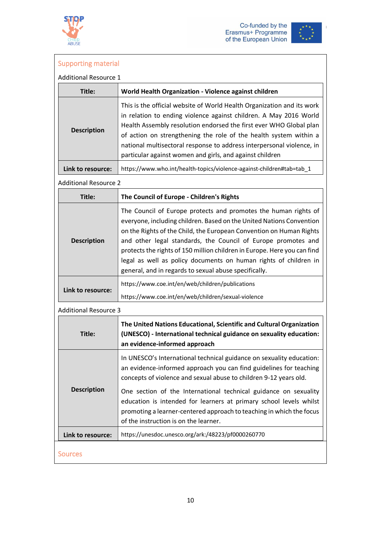



Supporting material

| Title:                       | World Health Organization - Violence against children                                                                                                                                                                                                                                                                                                                                                                                                                                    |
|------------------------------|------------------------------------------------------------------------------------------------------------------------------------------------------------------------------------------------------------------------------------------------------------------------------------------------------------------------------------------------------------------------------------------------------------------------------------------------------------------------------------------|
| <b>Description</b>           | This is the official website of World Health Organization and its work<br>in relation to ending violence against children. A May 2016 World<br>Health Assembly resolution endorsed the first ever WHO Global plan<br>of action on strengthening the role of the health system within a<br>national multisectoral response to address interpersonal violence, in<br>particular against women and girls, and against children                                                              |
| Link to resource:            | https://www.who.int/health-topics/violence-against-children#tab=tab_1                                                                                                                                                                                                                                                                                                                                                                                                                    |
| <b>Additional Resource 2</b> |                                                                                                                                                                                                                                                                                                                                                                                                                                                                                          |
| Title:                       | The Council of Europe - Children's Rights                                                                                                                                                                                                                                                                                                                                                                                                                                                |
| <b>Description</b>           | The Council of Europe protects and promotes the human rights of<br>everyone, including children. Based on the United Nations Convention<br>on the Rights of the Child, the European Convention on Human Rights<br>and other legal standards, the Council of Europe promotes and<br>protects the rights of 150 million children in Europe. Here you can find<br>legal as well as policy documents on human rights of children in<br>general, and in regards to sexual abuse specifically. |
| Link to resource:            | https://www.coe.int/en/web/children/publications<br>https://www.coe.int/en/web/children/sexual-violence                                                                                                                                                                                                                                                                                                                                                                                  |
| <b>Additional Resource 3</b> |                                                                                                                                                                                                                                                                                                                                                                                                                                                                                          |
| Title:                       | The United Nations Educational, Scientific and Cultural Organization<br>(UNESCO) - International technical guidance on sexuality education:<br>an evidence-informed approach                                                                                                                                                                                                                                                                                                             |
| <b>Description</b>           | In UNESCO's International technical guidance on sexuality education:<br>an evidence-informed approach you can find guidelines for teaching<br>concepts of violence and sexual abuse to children 9-12 years old.<br>One section of the International technical guidance on sexuality<br>education is intended for learners at primary school levels whilst<br>promoting a learner-centered approach to teaching in which the focus<br>of the instruction is on the learner.               |
| Link to resource:            | https://unesdoc.unesco.org/ark:/48223/pf0000260770                                                                                                                                                                                                                                                                                                                                                                                                                                       |
| <b>Sources</b>               |                                                                                                                                                                                                                                                                                                                                                                                                                                                                                          |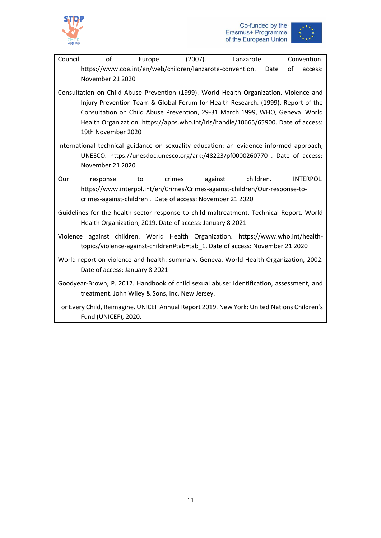



| Council<br>of<br>(2007).<br>Europe<br>Convention.<br>Lanzarote                                                                                                                                                                                                                                                                                                         |  |  |  |  |
|------------------------------------------------------------------------------------------------------------------------------------------------------------------------------------------------------------------------------------------------------------------------------------------------------------------------------------------------------------------------|--|--|--|--|
| https://www.coe.int/en/web/children/lanzarote-convention.<br>of<br>Date<br>access:<br>November 21 2020                                                                                                                                                                                                                                                                 |  |  |  |  |
| Consultation on Child Abuse Prevention (1999). World Health Organization. Violence and<br>Injury Prevention Team & Global Forum for Health Research. (1999). Report of the<br>Consultation on Child Abuse Prevention, 29-31 March 1999, WHO, Geneva. World<br>Health Organization. https://apps.who.int/iris/handle/10665/65900. Date of access:<br>19th November 2020 |  |  |  |  |
| International technical guidance on sexuality education: an evidence-informed approach,<br>UNESCO. https://unesdoc.unesco.org/ark:/48223/pf0000260770. Date of access:<br>November 21 2020                                                                                                                                                                             |  |  |  |  |
| children.<br><b>INTERPOL.</b><br>Our<br>crimes<br>against<br>response<br>to<br>https://www.interpol.int/en/Crimes/Crimes-against-children/Our-response-to-<br>crimes-against-children. Date of access: November 21 2020                                                                                                                                                |  |  |  |  |
| Guidelines for the health sector response to child maltreatment. Technical Report. World<br>Health Organization, 2019. Date of access: January 8 2021                                                                                                                                                                                                                  |  |  |  |  |
| Violence against children. World Health Organization. https://www.who.int/health-<br>topics/violence-against-children#tab=tab 1. Date of access: November 21 2020                                                                                                                                                                                                      |  |  |  |  |
| World report on violence and health: summary. Geneva, World Health Organization, 2002.<br>Date of access: January 8 2021                                                                                                                                                                                                                                               |  |  |  |  |
| Goodyear-Brown, P. 2012. Handbook of child sexual abuse: Identification, assessment, and<br>treatment. John Wiley & Sons, Inc. New Jersey.                                                                                                                                                                                                                             |  |  |  |  |
| For Every Child, Reimagine. UNICEF Annual Report 2019. New York: United Nations Children's<br>Fund (UNICEF), 2020.                                                                                                                                                                                                                                                     |  |  |  |  |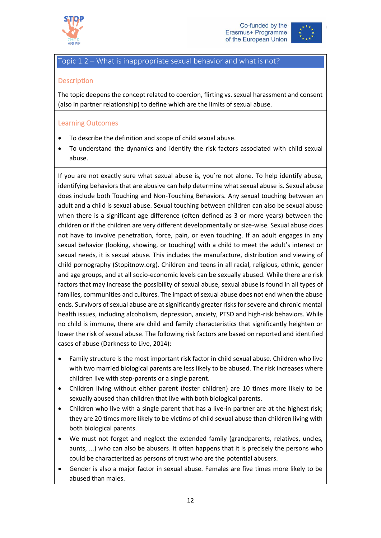



# Topic 1.2 – What is inappropriate sexual behavior and what is not?

### **Description**

The topic deepens the concept related to coercion, flirting vs. sexual harassment and consent (also in partner relationship) to define which are the limits of sexual abuse.

### Learning Outcomes

- To describe the definition and scope of child sexual abuse.
- To understand the dynamics and identify the risk factors associated with child sexual abuse.

If you are not exactly sure what sexual abuse is, you're not alone. To help identify abuse, identifying behaviors that are abusive can help determine what sexual abuse is. Sexual abuse does include both Touching and Non-Touching Behaviors. Any sexual touching between an adult and a child is sexual abuse. Sexual touching between children can also be sexual abuse when there is a significant age difference (often defined as 3 or more years) between the children or if the children are very different developmentally or size-wise. Sexual abuse does not have to involve penetration, force, pain, or even touching. If an adult engages in any sexual behavior (looking, showing, or touching) with a child to meet the adult's interest or sexual needs, it is sexual abuse. This includes the manufacture, distribution and viewing of child pornography (Stopitnow.org). Children and teens in all racial, religious, ethnic, gender and age groups, and at all socio-economic levels can be sexually abused. While there are risk factors that may increase the possibility of sexual abuse, sexual abuse is found in all types of families, communities and cultures. The impact of sexual abuse does not end when the abuse ends. Survivors of sexual abuse are at significantly greater risks for severe and chronic mental health issues, including alcoholism, depression, anxiety, PTSD and high-risk behaviors. While no child is immune, there are child and family characteristics that significantly heighten or lower the risk of sexual abuse. The following risk factors are based on reported and identified cases of abuse (Darkness to Live, 2014):

- Family structure is the most important risk factor in child sexual abuse. Children who live with two married biological parents are less likely to be abused. The risk increases where children live with step-parents or a single parent.
- Children living without either parent (foster children) are 10 times more likely to be sexually abused than children that live with both biological parents.
- Children who live with a single parent that has a live-in partner are at the highest risk; they are 20 times more likely to be victims of child sexual abuse than children living with both biological parents.
- We must not forget and neglect the extended family (grandparents, relatives, uncles, aunts, ...) who can also be abusers. It often happens that it is precisely the persons who could be characterized as persons of trust who are the potential abusers.
- Gender is also a major factor in sexual abuse. Females are five times more likely to be abused than males.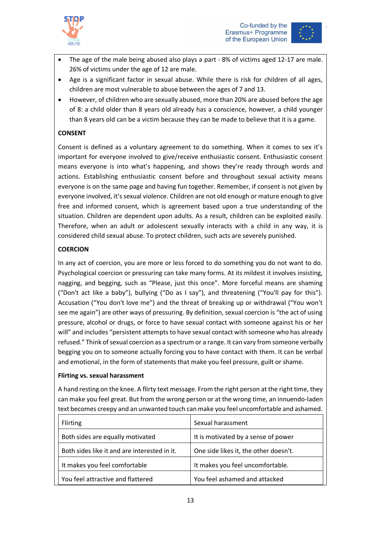



- The age of the male being abused also plays a part 8% of victims aged 12-17 are male. 26% of victims under the age of 12 are male.
- Age is a significant factor in sexual abuse. While there is risk for children of all ages, children are most vulnerable to abuse between the ages of 7 and 13.
- However, of children who are sexually abused, more than 20% are abused before the age of 8: a child older than 8 years old already has a conscience, however, a child younger than 8 years old can be a victim because they can be made to believe that it is a game.

# **CONSENT**

Consent is defined as a voluntary agreement to do something. When it comes to sex it's important for everyone involved to give/receive enthusiastic consent. Enthusiastic consent means everyone is into what's happening, and shows they're ready through words and actions. Establishing enthusiastic consent before and throughout sexual activity means everyone is on the same page and having fun together. Remember, if consent is not given by everyone involved, it's sexual violence. Children are not old enough or mature enough to give free and informed consent, which is agreement based upon a true understanding of the situation. Children are dependent upon adults. As a result, children can be exploited easily. Therefore, when an adult or adolescent sexually interacts with a child in any way, it is considered child sexual abuse. To protect children, such acts are severely punished.

#### **COERCION**

In any act of coercion, you are more or less forced to do something you do not want to do. Psychological coercion or pressuring can take many forms. At its mildest it involves insisting, nagging, and begging, such as "Please, just this once". More forceful means are shaming ("Don't act like a baby"), bullying ("Do as I say"), and threatening ("You'll pay for this"). Accusation ("You don't love me") and the threat of breaking up or withdrawal ("You won't see me again") are other ways of pressuring. By definition, sexual coercion is "the act of using pressure, alcohol or drugs, or force to have sexual contact with someone against his or her will" and includes "persistent attempts to have sexual contact with someone who has already refused." Think of sexual coercion as a spectrum or a range. It can vary from someone verbally begging you on to someone actually forcing you to have contact with them. It can be verbal and emotional, in the form of statements that make you feel pressure, guilt or shame.

#### **Flirting vs. sexual harassment**

A hand resting on the knee. A flirty text message. From the right person at the right time, they can make you feel great. But from the wrong person or at the wrong time, an innuendo-laden text becomes creepy and an unwanted touch can make you feel uncomfortable and ashamed.

| Flirting                                     | Sexual harassment                     |
|----------------------------------------------|---------------------------------------|
| Both sides are equally motivated             | It is motivated by a sense of power   |
| Both sides like it and are interested in it. | One side likes it, the other doesn't. |
| It makes you feel comfortable                | It makes you feel uncomfortable.      |
| You feel attractive and flattered            | You feel ashamed and attacked         |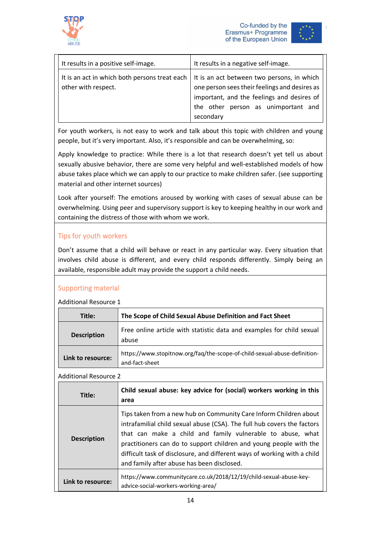



| It results in a positive self-image.                                 | It results in a negative self-image.                                                                                                                                             |
|----------------------------------------------------------------------|----------------------------------------------------------------------------------------------------------------------------------------------------------------------------------|
| It is an act in which both persons treat each<br>other with respect. | It is an act between two persons, in which<br>one person sees their feelings and desires as<br>important, and the feelings and desires of<br>the other person as unimportant and |
|                                                                      | secondary                                                                                                                                                                        |

For youth workers, is not easy to work and talk about this topic with children and young people, but it's very important. Also, it's responsible and can be overwhelming, so:

Apply knowledge to practice: While there is a lot that research doesn't yet tell us about sexually abusive behavior, there are some very helpful and well-established models of how abuse takes place which we can apply to our practice to make children safer. (see supporting material and other internet sources)

Look after yourself: The emotions aroused by working with cases of sexual abuse can be overwhelming. Using peer and supervisory support is key to keeping healthy in our work and containing the distress of those with whom we work.

# Tips for youth workers

Don't assume that a child will behave or react in any particular way. Every situation that involves child abuse is different, and every child responds differently. Simply being an available, responsible adult may provide the support a child needs.

# Supporting material

#### Additional Resource 1

| Title:             | The Scope of Child Sexual Abuse Definition and Fact Sheet                                   |
|--------------------|---------------------------------------------------------------------------------------------|
| <b>Description</b> | Free online article with statistic data and examples for child sexual<br>abuse              |
| Link to resource:  | https://www.stopitnow.org/faq/the-scope-of-child-sexual-abuse-definition-<br>and-fact-sheet |

#### Additional Resource 2

| Title:             | Child sexual abuse: key advice for (social) workers working in this<br>area                                                                                                                                                                                                                                                                                                                                |
|--------------------|------------------------------------------------------------------------------------------------------------------------------------------------------------------------------------------------------------------------------------------------------------------------------------------------------------------------------------------------------------------------------------------------------------|
| <b>Description</b> | Tips taken from a new hub on Community Care Inform Children about<br>intrafamilial child sexual abuse (CSA). The full hub covers the factors<br>that can make a child and family vulnerable to abuse, what<br>practitioners can do to support children and young people with the<br>difficult task of disclosure, and different ways of working with a child<br>and family after abuse has been disclosed. |
| Link to resource:  | https://www.communitycare.co.uk/2018/12/19/child-sexual-abuse-key-<br>advice-social-workers-working-area/                                                                                                                                                                                                                                                                                                  |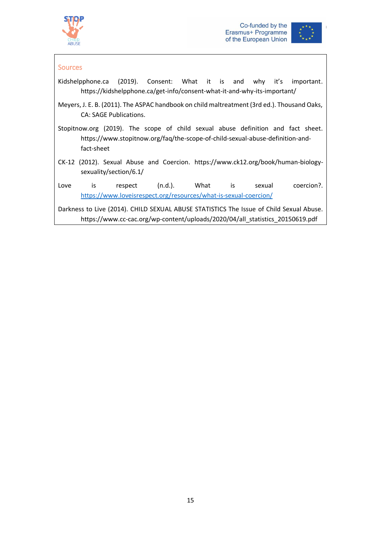



# **Sources**

Kidshelpphone.ca (2019). Consent: What it is and why it's important. https://kidshelpphone.ca/get-info/consent-what-it-and-why-its-important/ Meyers, J. E. B. (2011). The ASPAC handbook on child maltreatment (3rd ed.). Thousand Oaks, CA: SAGE Publications. Stopitnow.org (2019). The scope of child sexual abuse definition and fact sheet. https://www.stopitnow.org/faq/the-scope-of-child-sexual-abuse-definition-andfact-sheet CK-12 (2012). Sexual Abuse and Coercion. https://www.ck12.org/book/human-biologysexuality/section/6.1/ Love is respect (n.d.). What is sexual coercion?. <https://www.loveisrespect.org/resources/what-is-sexual-coercion/> Darkness to Live (2014). CHILD SEXUAL ABUSE STATISTICS The Issue of Child Sexual Abuse.

https://www.cc-cac.org/wp-content/uploads/2020/04/all\_statistics\_20150619.pdf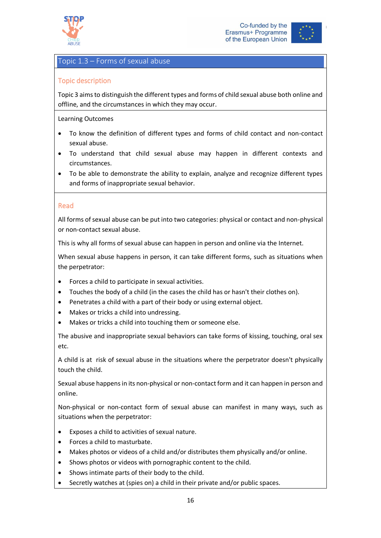



# Topic 1.3 – Forms of sexual abuse

# Topic description

Topic 3 aims to distinguish the different types and forms of child sexual abuse both online and offline, and the circumstances in which they may occur.

Learning Outcomes

- To know the definition of different types and forms of child contact and non-contact sexual abuse.
- To understand that child sexual abuse may happen in different contexts and circumstances.
- To be able to demonstrate the ability to explain, analyze and recognize different types and forms of inappropriate sexual behavior.

#### Read

All forms of sexual abuse can be put into two categories: physical or contact and non-physical or non-contact sexual abuse.

This is why all forms of sexual abuse can happen in person and online via the Internet.

When sexual abuse happens in person, it can take different forms, such as situations when the perpetrator:

- Forces a child to participate in sexual activities.
- Touches the body of a child (in the cases the child has or hasn't their clothes on).
- Penetrates a child with a part of their body or using external object.
- Makes or tricks a child into undressing.
- Makes or tricks a child into touching them or someone else.

The abusive and inappropriate sexual behaviors can take forms of kissing, touching, oral sex etc.

A child is at risk of sexual abuse in the situations where the perpetrator doesn't physically touch the child.

Sexual abuse happens in its non-physical or non-contact form and it can happen in person and online.

Non-physical or non-contact form of sexual abuse can manifest in many ways, such as situations when the perpetrator:

- Exposes a child to activities of sexual nature.
- Forces a child to masturbate.
- Makes photos or videos of a child and/or distributes them physically and/or online.
- Shows photos or videos with pornographic content to the child.
- Shows intimate parts of their body to the child.
- Secretly watches at (spies on) a child in their private and/or public spaces.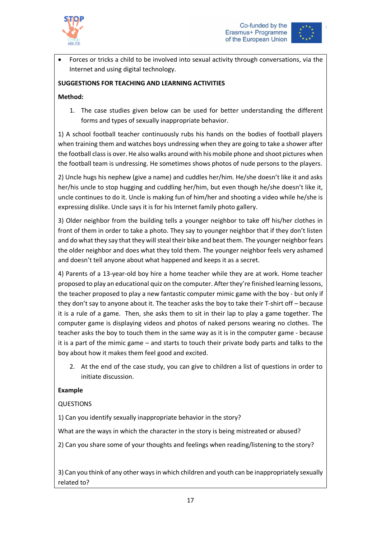



• Forces or tricks a child to be involved into sexual activity through conversations, via the Internet and using digital technology.

### **SUGGESTIONS FOR TEACHING AND LEARNING ACTIVITIES**

#### **Method:**

1. The case studies given below can be used for better understanding the different forms and types of sexually inappropriate behavior.

1) A school football teacher continuously rubs his hands on the bodies of football players when training them and watches boys undressing when they are going to take a shower after the football class is over. He also walks around with his mobile phone and shoot pictures when the football team is undressing. He sometimes shows photos of nude persons to the players.

2) Uncle hugs his nephew (give a name) and cuddles her/him. He/she doesn't like it and asks her/his uncle to stop hugging and cuddling her/him, but even though he/she doesn't like it, uncle continues to do it. Uncle is making fun of him/her and shooting a video while he/she is expressing dislike. Uncle says it is for his Internet family photo gallery.

3) Older neighbor from the building tells a younger neighbor to take off his/her clothes in front of them in order to take a photo. They say to younger neighbor that if they don't listen and do what they say that they will steal their bike and beat them. The younger neighbor fears the older neighbor and does what they told them. The younger neighbor feels very ashamed and doesn't tell anyone about what happened and keeps it as a secret.

4) Parents of a 13-year-old boy hire a home teacher while they are at work. Home teacher proposed to play an educational quiz on the computer. After they're finished learning lessons, the teacher proposed to play a new fantastic computer mimic game with the boy - but only if they don't say to anyone about it. The teacher asks the boy to take their T-shirt off – because it is a rule of a game. Then, she asks them to sit in their lap to play a game together. The computer game is displaying videos and photos of naked persons wearing no clothes. The teacher asks the boy to touch them in the same way as it is in the computer game - because it is a part of the mimic game – and starts to touch their private body parts and talks to the boy about how it makes them feel good and excited.

2. At the end of the case study, you can give to children a list of questions in order to initiate discussion.

#### **Example**

#### QUESTIONS

1) Can you identify sexually inappropriate behavior in the story?

What are the ways in which the character in the story is being mistreated or abused?

2) Can you share some of your thoughts and feelings when reading/listening to the story?

3) Can you think of any other ways in which children and youth can be inappropriately sexually related to?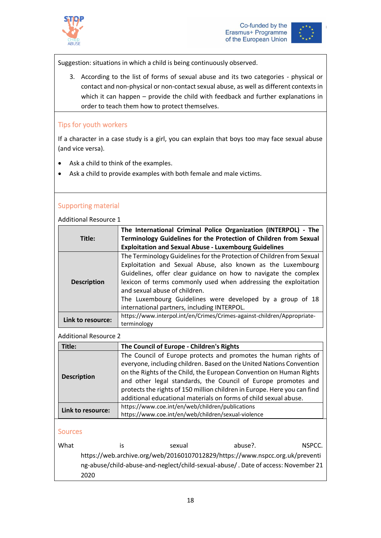



Suggestion: situations in which a child is being continuously observed.

3. According to the list of forms of sexual abuse and its two categories - physical or contact and non-physical or non-contact sexual abuse, as well as different contexts in which it can happen – provide the child with feedback and further explanations in order to teach them how to protect themselves.

# Tips for youth workers

If a character in a case study is a girl, you can explain that boys too may face sexual abuse (and vice versa).

- Ask a child to think of the examples.
- Ask a child to provide examples with both female and male victims.

| <b>Supporting material</b>                                                                                                                                                |                                                                                                                                                                                                                                                                                                                                                                                                                                 |  |  |  |
|---------------------------------------------------------------------------------------------------------------------------------------------------------------------------|---------------------------------------------------------------------------------------------------------------------------------------------------------------------------------------------------------------------------------------------------------------------------------------------------------------------------------------------------------------------------------------------------------------------------------|--|--|--|
| <b>Additional Resource 1</b>                                                                                                                                              |                                                                                                                                                                                                                                                                                                                                                                                                                                 |  |  |  |
| Title:                                                                                                                                                                    | The International Criminal Police Organization (INTERPOL) - The<br>Terminology Guidelines for the Protection of Children from Sexual<br><b>Exploitation and Sexual Abuse - Luxembourg Guidelines</b>                                                                                                                                                                                                                            |  |  |  |
| <b>Description</b>                                                                                                                                                        | The Terminology Guidelines for the Protection of Children from Sexual<br>Exploitation and Sexual Abuse, also known as the Luxembourg<br>Guidelines, offer clear guidance on how to navigate the complex<br>lexicon of terms commonly used when addressing the exploitation<br>and sexual abuse of children.<br>The Luxembourg Guidelines were developed by a group of 18<br>international partners, including INTERPOL.         |  |  |  |
| Link to resource:                                                                                                                                                         | https://www.interpol.int/en/Crimes/Crimes-against-children/Appropriate-<br>terminology                                                                                                                                                                                                                                                                                                                                          |  |  |  |
| <b>Additional Resource 2</b>                                                                                                                                              |                                                                                                                                                                                                                                                                                                                                                                                                                                 |  |  |  |
| Title:                                                                                                                                                                    | The Council of Europe - Children's Rights                                                                                                                                                                                                                                                                                                                                                                                       |  |  |  |
| <b>Description</b>                                                                                                                                                        | The Council of Europe protects and promotes the human rights of<br>everyone, including children. Based on the United Nations Convention<br>on the Rights of the Child, the European Convention on Human Rights<br>and other legal standards, the Council of Europe promotes and<br>protects the rights of 150 million children in Europe. Here you can find<br>additional educational materials on forms of child sexual abuse. |  |  |  |
| Link to resource:                                                                                                                                                         | https://www.coe.int/en/web/children/publications<br>https://www.coe.int/en/web/children/sexual-violence                                                                                                                                                                                                                                                                                                                         |  |  |  |
| <b>Sources</b>                                                                                                                                                            |                                                                                                                                                                                                                                                                                                                                                                                                                                 |  |  |  |
| What                                                                                                                                                                      | abuse?.<br>NSPCC.<br>is<br>sexual                                                                                                                                                                                                                                                                                                                                                                                               |  |  |  |
| https://web.archive.org/web/20160107012829/https://www.nspcc.org.uk/preventi<br>ng-abuse/child-abuse-and-neglect/child-sexual-abuse/. Date of access: November 21<br>2020 |                                                                                                                                                                                                                                                                                                                                                                                                                                 |  |  |  |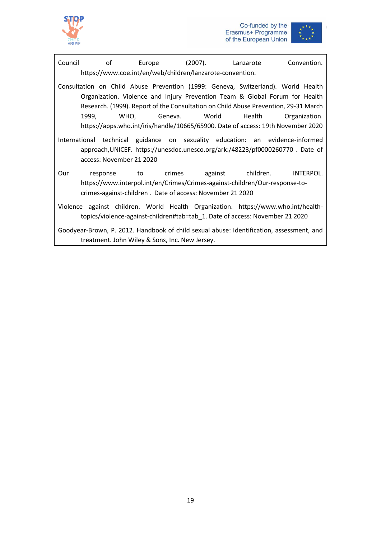



| Council                                                                                                                                    |          | of<br>https://www.coe.int/en/web/children/lanzarote-convention.                                                                          | Europe  | (2007). |       | Lanzarote                | Convention.                                                                                                                                                                                                                                                                                                                                                 |
|--------------------------------------------------------------------------------------------------------------------------------------------|----------|------------------------------------------------------------------------------------------------------------------------------------------|---------|---------|-------|--------------------------|-------------------------------------------------------------------------------------------------------------------------------------------------------------------------------------------------------------------------------------------------------------------------------------------------------------------------------------------------------------|
|                                                                                                                                            | 1999,    | WHO,                                                                                                                                     | Geneva. |         | World | Health                   | Consultation on Child Abuse Prevention (1999: Geneva, Switzerland). World Health<br>Organization. Violence and Injury Prevention Team & Global Forum for Health<br>Research. (1999). Report of the Consultation on Child Abuse Prevention, 29-31 March<br>Organization.<br>https://apps.who.int/iris/handle/10665/65900. Date of access: 19th November 2020 |
|                                                                                                                                            |          | access: November 21 2020                                                                                                                 |         |         |       |                          | International technical guidance on sexuality education: an evidence-informed<br>approach, UNICEF. https://unesdoc.unesco.org/ark:/48223/pf0000260770. Date of                                                                                                                                                                                              |
| Our                                                                                                                                        | response | https://www.interpol.int/en/Crimes/Crimes-against-children/Our-response-to-<br>crimes-against-children. Date of access: November 21 2020 | to to   |         |       | crimes against children. | INTERPOL.                                                                                                                                                                                                                                                                                                                                                   |
|                                                                                                                                            |          | topics/violence-against-children#tab=tab 1. Date of access: November 21 2020                                                             |         |         |       |                          | Violence against children. World Health Organization. https://www.who.int/health-                                                                                                                                                                                                                                                                           |
| Goodyear-Brown, P. 2012. Handbook of child sexual abuse: Identification, assessment, and<br>treatment. John Wiley & Sons, Inc. New Jersey. |          |                                                                                                                                          |         |         |       |                          |                                                                                                                                                                                                                                                                                                                                                             |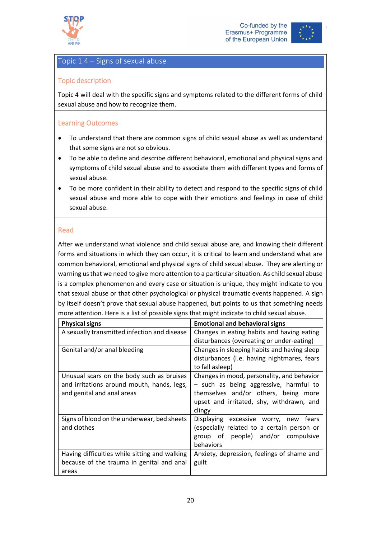



# Topic 1.4 – Signs of sexual abuse

# Topic description

Topic 4 will deal with the specific signs and symptoms related to the different forms of child sexual abuse and how to recognize them.

# Learning Outcomes

- To understand that there are common signs of child sexual abuse as well as understand that some signs are not so obvious.
- To be able to define and describe different behavioral, emotional and physical signs and symptoms of child sexual abuse and to associate them with different types and forms of sexual abuse.
- To be more confident in their ability to detect and respond to the specific signs of child sexual abuse and more able to cope with their emotions and feelings in case of child sexual abuse.

#### Read

After we understand what violence and child sexual abuse are, and knowing their different forms and situations in which they can occur, it is critical to learn and understand what are common behavioral, emotional and physical signs of child sexual abuse. They are alerting or warning us that we need to give more attention to a particular situation. As child sexual abuse is a complex phenomenon and every case or situation is unique, they might indicate to you that sexual abuse or that other psychological or physical traumatic events happened. A sign by itself doesn't prove that sexual abuse happened, but points to us that something needs more attention. Here is a list of possible signs that might indicate to child sexual abuse.

| <b>Physical signs</b>                                                                                                 | <b>Emotional and behavioral signs</b>                                                                                                                                              |
|-----------------------------------------------------------------------------------------------------------------------|------------------------------------------------------------------------------------------------------------------------------------------------------------------------------------|
| A sexually transmitted infection and disease                                                                          | Changes in eating habits and having eating<br>disturbances (overeating or under-eating)                                                                                            |
| Genital and/or anal bleeding                                                                                          | Changes in sleeping habits and having sleep<br>disturbances (i.e. having nightmares, fears<br>to fall asleep)                                                                      |
| Unusual scars on the body such as bruises<br>and irritations around mouth, hands, legs,<br>and genital and anal areas | Changes in mood, personality, and behavior<br>- such as being aggressive, harmful to<br>themselves and/or others, being more<br>upset and irritated, shy, withdrawn, and<br>clingy |
| Signs of blood on the underwear, bed sheets<br>and clothes                                                            | Displaying excessive worry, new fears<br>(especially related to a certain person or<br>group of people) and/or compulsive<br>behaviors                                             |
| Having difficulties while sitting and walking<br>because of the trauma in genital and anal<br>areas                   | Anxiety, depression, feelings of shame and<br>guilt                                                                                                                                |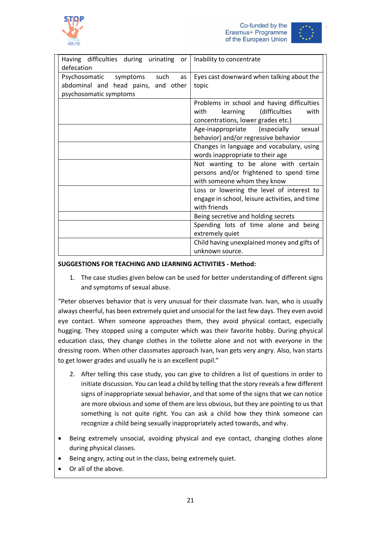



| Having difficulties during urinating or<br>defecation                                              | Inability to concentrate                                                                                                      |  |
|----------------------------------------------------------------------------------------------------|-------------------------------------------------------------------------------------------------------------------------------|--|
| Psychosomatic symptoms such<br>as<br>abdominal and head pains, and other<br>psychosomatic symptoms | Eyes cast downward when talking about the<br>topic                                                                            |  |
|                                                                                                    | Problems in school and having difficulties<br>(difficulties<br>with<br>learning<br>with<br>concentrations, lower grades etc.) |  |
|                                                                                                    | Age-inappropriate (especially<br>sexual<br>behavior) and/or regressive behavior                                               |  |
|                                                                                                    | Changes in language and vocabulary, using<br>words inappropriate to their age                                                 |  |
|                                                                                                    | Not wanting to be alone with certain<br>persons and/or frightened to spend time<br>with someone whom they know                |  |
|                                                                                                    | Loss or lowering the level of interest to<br>engage in school, leisure activities, and time<br>with friends                   |  |
|                                                                                                    | Being secretive and holding secrets                                                                                           |  |
|                                                                                                    | Spending lots of time alone and being<br>extremely quiet                                                                      |  |
|                                                                                                    | Child having unexplained money and gifts of<br>unknown source.                                                                |  |

#### **SUGGESTIONS FOR TEACHING AND LEARNING ACTIVITIES - Method:**

1. The case studies given below can be used for better understanding of different signs and symptoms of sexual abuse.

"Peter observes behavior that is very unusual for their classmate Ivan. Ivan, who is usually always cheerful, has been extremely quiet and unsocial for the last few days. They even avoid eye contact. When someone approaches them, they avoid physical contact, especially hugging. They stopped using a computer which was their favorite hobby. During physical education class, they change clothes in the toilette alone and not with everyone in the dressing room. When other classmates approach Ivan, Ivan gets very angry. Also, Ivan starts to get lower grades and usually he is an excellent pupil."

- 2. After telling this case study, you can give to children a list of questions in order to initiate discussion. You can lead a child by telling that the story reveals a few different signs of inappropriate sexual behavior, and that some of the signs that we can notice are more obvious and some of them are less obvious, but they are pointing to us that something is not quite right. You can ask a child how they think someone can recognize a child being sexually inappropriately acted towards, and why.
- Being extremely unsocial, avoiding physical and eye contact, changing clothes alone during physical classes.
- Being angry, acting out in the class, being extremely quiet.
- Or all of the above.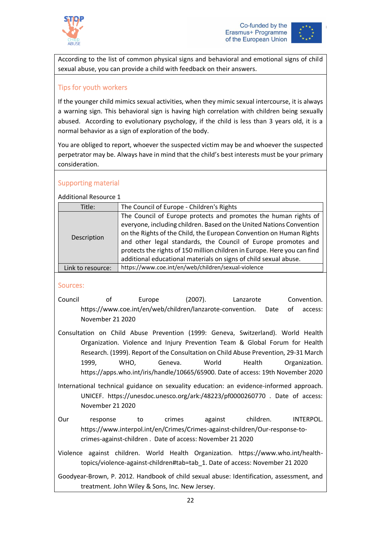



According to the list of common physical signs and behavioral and emotional signs of child sexual abuse, you can provide a child with feedback on their answers.

# Tips for youth workers

If the younger child mimics sexual activities, when they mimic sexual intercourse, it is always a warning sign. This behavioral sign is having high correlation with children being sexually abused. According to evolutionary psychology, if the child is less than 3 years old, it is a normal behavior as a sign of exploration of the body.

You are obliged to report, whoever the suspected victim may be and whoever the suspected perpetrator may be. Always have in mind that the child's best interests must be your primary consideration.

# Supporting material

Additional Resource 1

| Title:            | The Council of Europe - Children's Rights                                                                                                                                                                                                                                                                                                                                                                                       |
|-------------------|---------------------------------------------------------------------------------------------------------------------------------------------------------------------------------------------------------------------------------------------------------------------------------------------------------------------------------------------------------------------------------------------------------------------------------|
| Description       | The Council of Europe protects and promotes the human rights of<br>everyone, including children. Based on the United Nations Convention<br>on the Rights of the Child, the European Convention on Human Rights<br>and other legal standards, the Council of Europe promotes and<br>protects the rights of 150 million children in Europe. Here you can find<br>additional educational materials on signs of child sexual abuse. |
|                   |                                                                                                                                                                                                                                                                                                                                                                                                                                 |
| Link to resource: | https://www.coe.int/en/web/children/sexual-violence                                                                                                                                                                                                                                                                                                                                                                             |

# Sources:

- Council of Europe (2007). Lanzarote Convention. https://www.coe.int/en/web/children/lanzarote-convention. Date of access: November 21 2020
- Consultation on Child Abuse Prevention (1999: Geneva, Switzerland). World Health Organization. Violence and Injury Prevention Team & Global Forum for Health Research. (1999). Report of the Consultation on Child Abuse Prevention, 29-31 March 1999, WHO, Geneva. World Health Organization. https://apps.who.int/iris/handle/10665/65900. Date of access: 19th November 2020
- International technical guidance on sexuality education: an evidence-informed approach. UNICEF. https://unesdoc.unesco.org/ark:/48223/pf0000260770 . Date of access: November 21 2020
- Our response to crimes against children. INTERPOL. https://www.interpol.int/en/Crimes/Crimes-against-children/Our-response-tocrimes-against-children . Date of access: November 21 2020
- Violence against children. World Health Organization. https://www.who.int/healthtopics/violence-against-children#tab=tab\_1. Date of access: November 21 2020
- Goodyear-Brown, P. 2012. Handbook of child sexual abuse: Identification, assessment, and treatment. John Wiley & Sons, Inc. New Jersey.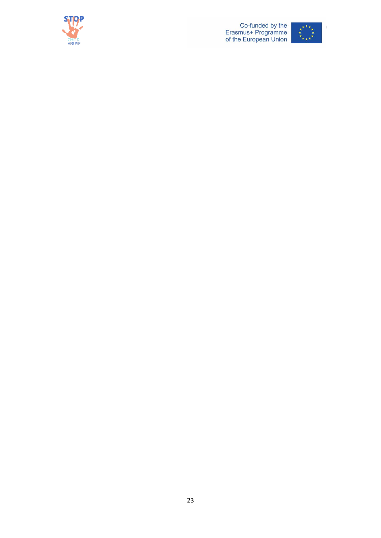

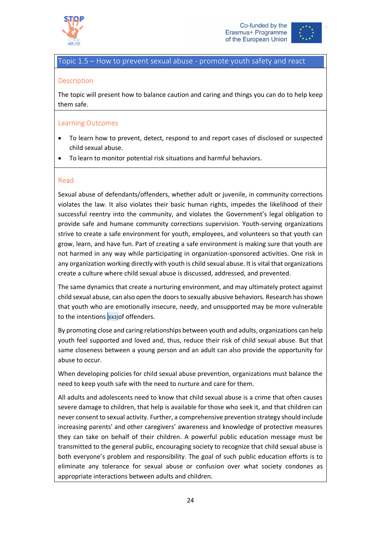



# Topic 1.5 – How to prevent sexual abuse - promote youth safety and react

### **Description**

The topic will present how to balance caution and caring and things you can do to help keep them safe.

#### Learning Outcomes

- To learn how to prevent, detect, respond to and report cases of disclosed or suspected child sexual abuse.
- To learn to monitor potential risk situations and harmful behaviors.

#### Read

Sexual abuse of defendants/offenders, whether adult or juvenile, in community corrections violates the law. It also violates their basic human rights, impedes the likelihood of their successful reentry into the community, and violates the Government's legal obligation to provide safe and humane community corrections supervision. Youth-serving organizations strive to create a safe environment for youth, employees, and volunteers so that youth can grow, learn, and have fun. Part of creating a safe environment is making sure that youth are not harmed in any way while participating in organization-sponsored activities. One risk in any organization working directly with youth is child sexual abuse. It is vital that organizations create a culture where child sexual abuse is discussed, addressed, and prevented.

The same dynamics that create a nurturing environment, and may ultimately protect against child sexual abuse, can also open the doors to sexually abusive behaviors. Research has shown that youth who are emotionally insecure, needy, and unsupported may be more vulnerable to the intentions **[EK3]**of offenders.

By promoting close and caring relationships between youth and adults, organizations can help youth feel supported and loved and, thus, reduce their risk of child sexual abuse. But that same closeness between a young person and an adult can also provide the opportunity for abuse to occur.

When developing policies for child sexual abuse prevention, organizations must balance the need to keep youth safe with the need to nurture and care for them.

All adults and adolescents need to know that child sexual abuse is a crime that often causes severe damage to children, that help is available for those who seek it, and that children can never consent to sexual activity. Further, a comprehensive prevention strategy should include increasing parents' and other caregivers' awareness and knowledge of protective measures they can take on behalf of their children. A powerful public education message must be transmitted to the general public, encouraging society to recognize that child sexual abuse is both everyone's problem and responsibility. The goal of such public education efforts is to eliminate any tolerance for sexual abuse or confusion over what society condones as appropriate interactions between adults and children.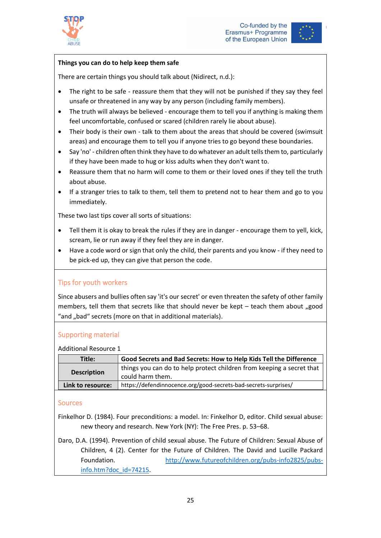



#### **Things you can do to help keep them safe**

There are certain things you should talk about (Nidirect, n.d.):

- The right to be safe reassure them that they will not be punished if they say they feel unsafe or threatened in any way by any person (including family members).
- The truth will always be believed encourage them to tell you if anything is making them feel uncomfortable, confused or scared (children rarely lie about abuse).
- Their body is their own talk to them about the areas that should be covered (swimsuit areas) and encourage them to tell you if anyone tries to go beyond these boundaries.
- Say 'no' children often think they have to do whatever an adult tells them to, particularly if they have been made to hug or kiss adults when they don't want to.
- Reassure them that no harm will come to them or their loved ones if they tell the truth about abuse.
- If a stranger tries to talk to them, tell them to pretend not to hear them and go to you immediately.

These two last tips cover all sorts of situations:

- Tell them it is okay to break the rules if they are in danger encourage them to yell, kick, scream, lie or run away if they feel they are in danger.
- Have a code word or sign that only the child, their parents and you know if they need to be pick-ed up, they can give that person the code.

#### Tips for youth workers

Since abusers and bullies often say 'it's our secret' or even threaten the safety of other family members, tell them that secrets like that should never be kept  $-$  teach them about "good "and "bad" secrets (more on that in additional materials).

#### Supporting material

Additional Resource 1

| Title:             | Good Secrets and Bad Secrets: How to Help Kids Tell the Difference                        |
|--------------------|-------------------------------------------------------------------------------------------|
| <b>Description</b> | things you can do to help protect children from keeping a secret that<br>could harm them. |
| Link to resource:  | https://defendinnocence.org/good-secrets-bad-secrets-surprises/                           |

#### **Sources**

Finkelhor D. (1984). Four preconditions: a model. In: Finkelhor D, editor. Child sexual abuse: new theory and research. New York (NY): The Free Pres. p. 53–68.

Daro, D.A. (1994). Prevention of child sexual abuse. The Future of Children: Sexual Abuse of Children, 4 (2). Center for the Future of Children. The David and Lucille Packard Foundation. [http://www.futureofchildren.org/pubs-info2825/pubs](http://www.futureofchildren.org/pubs-info2825/pubs-info.htm?doc_id=74215)[info.htm?doc\\_id=74215.](http://www.futureofchildren.org/pubs-info2825/pubs-info.htm?doc_id=74215)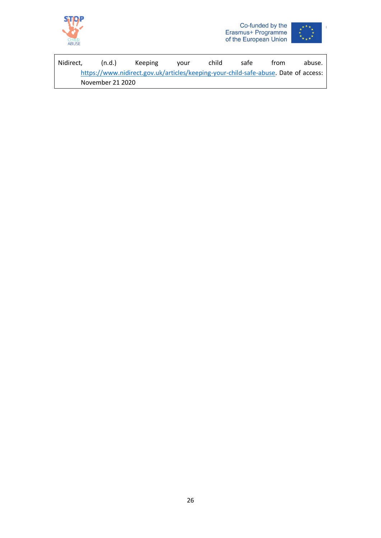



| Nidirect. | (n.d.)           | Keeping                                                                             | vour | child | safe | trom | abuse. |
|-----------|------------------|-------------------------------------------------------------------------------------|------|-------|------|------|--------|
|           |                  | https://www.nidirect.gov.uk/articles/keeping-your-child-safe-abuse. Date of access: |      |       |      |      |        |
|           | November 21 2020 |                                                                                     |      |       |      |      |        |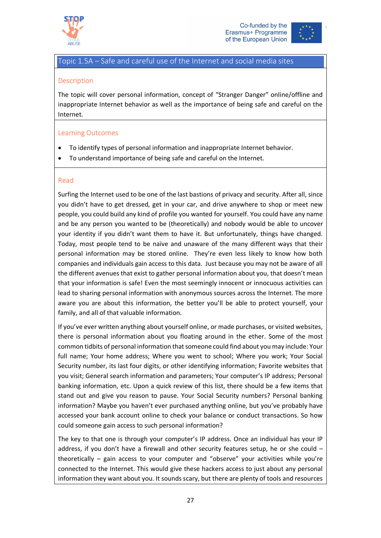



# Topic 1.5A – Safe and careful use of the Internet and social media sites

### **Description**

The topic will cover personal information, concept of "Stranger Danger" online/offline and inappropriate Internet behavior as well as the importance of being safe and careful on the Internet.

# Learning Outcomes

- To identify types of personal information and inappropriate Internet behavior.
- To understand importance of being safe and careful on the Internet.

#### Read

Surfing the Internet used to be one of the last bastions of privacy and security. After all, since you didn't have to get dressed, get in your car, and drive anywhere to shop or meet new people, you could build any kind of profile you wanted for yourself. You could have any name and be any person you wanted to be (theoretically) and nobody would be able to uncover your identity if you didn't want them to have it. But unfortunately, things have changed. Today, most people tend to be naïve and unaware of the many different ways that their personal information may be stored online. They're even less likely to know how both companies and individuals gain access to this data. Just because you may not be aware of all the different avenues that exist to gather personal information about you, that doesn't mean that your information is safe! Even the most seemingly innocent or innocuous activities can lead to sharing personal information with anonymous sources across the Internet. The more aware you are about this information, the better you'll be able to protect yourself, your family, and all of that valuable information.

If you've ever written anything about yourself online, or made purchases, or visited websites, there is personal information about you floating around in the ether. Some of the most common tidbits of personal information that someone could find about you may include: Your full name; Your home address; Where you went to school; Where you work; Your Social Security number, its last four digits, or other identifying information; Favorite websites that you visit; General search information and parameters; Your computer's IP address; Personal banking information, etc. Upon a quick review of this list, there should be a few items that stand out and give you reason to pause. Your Social Security numbers? Personal banking information? Maybe you haven't ever purchased anything online, but you've probably have accessed your bank account online to check your balance or conduct transactions. So how could someone gain access to such personal information?

The key to that one is through your computer's IP address. Once an individual has your IP address, if you don't have a firewall and other security features setup, he or she could – theoretically – gain access to your computer and "observe" your activities while you're connected to the Internet. This would give these hackers access to just about any personal information they want about you. It sounds scary, but there are plenty of tools and resources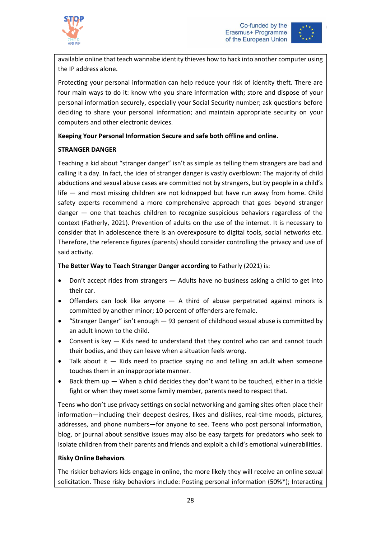



available online that teach wannabe identity thieves how to hack into another computer using the IP address alone.

Protecting your personal information can help reduce your risk of identity theft. There are four main ways to do it: know who you share information with; store and dispose of your personal information securely, especially your Social Security number; ask questions before deciding to share your personal information; and maintain appropriate security on your computers and other electronic devices.

# **Keeping Your Personal Information Secure and safe both offline and online.**

# **STRANGER DANGER**

Teaching a kid about "stranger danger" isn't as simple as telling them strangers are bad and calling it a day. In fact, the idea of stranger danger is vastly overblown: The majority of child abductions and sexual abuse cases are committed not by strangers, but by people in a child's life — and most missing children are not kidnapped but have run away from home. Child safety experts recommend a more comprehensive approach that goes beyond stranger danger — one that teaches children to recognize suspicious behaviors regardless of the context (Fatherly, 2021). Prevention of adults on the use of the internet. It is necessary to consider that in adolescence there is an overexposure to digital tools, social networks etc. Therefore, the reference figures (parents) should consider controlling the privacy and use of said activity.

#### **The Better Way to Teach Stranger Danger according to** Fatherly (2021) is:

- Don't accept rides from strangers Adults have no business asking a child to get into their car.
- Offenders can look like anyone  $-$  A third of abuse perpetrated against minors is committed by another minor; 10 percent of offenders are female.
- "Stranger Danger" isn't enough 93 percent of childhood sexual abuse is committed by an adult known to the child.
- Consent is key Kids need to understand that they control who can and cannot touch their bodies, and they can leave when a situation feels wrong.
- Talk about it  $-$  Kids need to practice saying no and telling an adult when someone touches them in an inappropriate manner.
- Back them up When a child decides they don't want to be touched, either in a tickle fight or when they meet some family member, parents need to respect that.

Teens who don't use privacy settings on social networking and gaming sites often place their information—including their deepest desires, likes and dislikes, real-time moods, pictures, addresses, and phone numbers—for anyone to see. Teens who post personal information, blog, or journal about sensitive issues may also be easy targets for predators who seek to isolate children from their parents and friends and exploit a child's emotional vulnerabilities.

#### **Risky Online Behaviors**

The riskier behaviors kids engage in online, the more likely they will receive an online sexual solicitation. These risky behaviors include: Posting personal information (50%\*); Interacting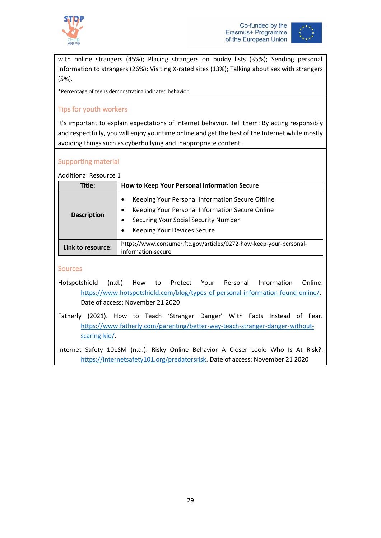



with online strangers (45%); Placing strangers on buddy lists (35%); Sending personal information to strangers (26%); Visiting X-rated sites (13%); Talking about sex with strangers (5%).

\*Percentage of teens demonstrating indicated behavior.

# Tips for youth workers

It's important to explain expectations of internet behavior. Tell them: By acting responsibly and respectfully, you will enjoy your time online and get the best of the Internet while mostly avoiding things such as cyberbullying and inappropriate content.

# Supporting material

Additional Resource 1

| Title:             | How to Keep Your Personal Information Secure                                                                                                                                      |
|--------------------|-----------------------------------------------------------------------------------------------------------------------------------------------------------------------------------|
| <b>Description</b> | Keeping Your Personal Information Secure Offline<br>Keeping Your Personal Information Secure Online<br>Securing Your Social Security Number<br><b>Keeping Your Devices Secure</b> |
| Link to resource:  | https://www.consumer.ftc.gov/articles/0272-how-keep-your-personal-<br>information-secure                                                                                          |

### **Sources**

- Hotspotshield (n.d.) How to Protect Your Personal Information Online. [https://www.hotspotshield.com/blog/types-of-personal-information-found-online/.](https://www.hotspotshield.com/blog/types-of-personal-information-found-online/) Date of access: November 21 2020
- Fatherly (2021). How to Teach 'Stranger Danger' With Facts Instead of Fear. [https://www.fatherly.com/parenting/better-way-teach-stranger-danger-without](https://www.fatherly.com/parenting/better-way-teach-stranger-danger-without-scaring-kid/)[scaring-kid/.](https://www.fatherly.com/parenting/better-way-teach-stranger-danger-without-scaring-kid/)

Internet Safety 101SM (n.d.). Risky Online Behavior A Closer Look: Who Is At Risk?. [https://internetsafety101.org/predatorsrisk.](https://internetsafety101.org/predatorsrisk) Date of access: November 21 2020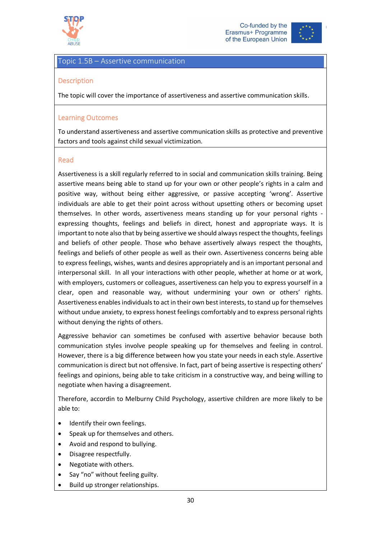



# Topic 1.5B – Assertive communication

# **Description**

The topic will cover the importance of assertiveness and assertive communication skills.

#### Learning Outcomes

To understand assertiveness and assertive communication skills as protective and preventive factors and tools against child sexual victimization.

#### Read

Assertiveness is a skill regularly referred to in social and communication skills training. Being assertive means being able to stand up for your own or other people's rights in a calm and positive way, without being either aggressive, or passive accepting 'wrong'. Assertive individuals are able to get their point across without upsetting others or becoming upset themselves. In other words, assertiveness means standing up for your personal rights expressing thoughts, feelings and beliefs in direct, honest and appropriate ways. It is important to note also that by being assertive we should always respect the thoughts, feelings and beliefs of other people. Those who behave assertively always respect the thoughts, feelings and beliefs of other people as well as their own. Assertiveness concerns being able to express feelings, wishes, wants and desires appropriately and is an important personal and interpersonal skill. In all your interactions with other people, whether at home or at work, with employers, customers or colleagues, assertiveness can help you to express yourself in a clear, open and reasonable way, without undermining your own or others' rights. Assertiveness enables individuals to act in their own best interests, to stand up for themselves without undue anxiety, to express honest feelings comfortably and to express personal rights without denying the rights of others.

Aggressive behavior can sometimes be confused with assertive behavior because both communication styles involve people speaking up for themselves and feeling in control. However, there is a big difference between how you state your needs in each style. Assertive communication is direct but not offensive. In fact, part of being assertive is respecting others' feelings and opinions, being able to take criticism in a constructive way, and being willing to negotiate when having a disagreement.

Therefore, accordin to Melburny Child Psychology, assertive children are more likely to be able to:

- Identify their own feelings.
- Speak up for themselves and others.
- Avoid and respond to bullying.
- Disagree respectfully.
- Negotiate with others.
- Say "no" without feeling guilty.
- Build up stronger relationships.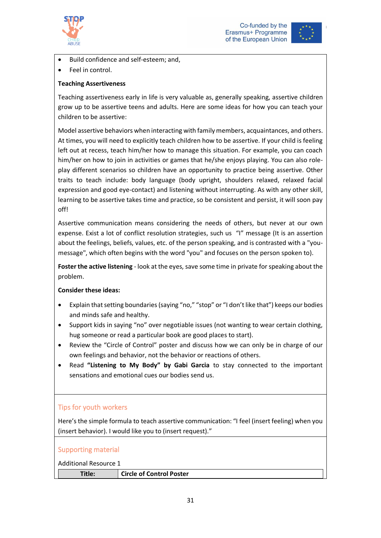



- Build confidence and self-esteem; and,
- Feel in control.

#### **Teaching Assertiveness**

Teaching assertiveness early in life is very valuable as, generally speaking, assertive children grow up to be assertive teens and adults. Here are some ideas for how you can teach your children to be assertive:

Model assertive behaviors when interacting with family members, acquaintances, and others. At times, you will need to explicitly teach children how to be assertive. If your child is feeling left out at recess, teach him/her how to manage this situation. For example, you can coach him/her on how to join in activities or games that he/she enjoys playing. You can also roleplay different scenarios so children have an opportunity to practice being assertive. Other traits to teach include: body language (body upright, shoulders relaxed, relaxed facial expression and good eye-contact) and listening without interrupting. As with any other skill, learning to be assertive takes time and practice, so be consistent and persist, it will soon pay off!

Assertive communication means considering the needs of others, but never at our own expense. Exist a lot of conflict resolution strategies, such us "I" message (It is an assertion about the feelings, beliefs, values, etc. of the person speaking, and is contrasted with a "youmessage", which often begins with the word "you" and focuses on the person spoken to).

**Foster the active listening** - look at the eyes, save some time in private for speaking about the problem.

#### **Consider these ideas:**

- Explain that setting boundaries (saying "no," "stop" or "I don't like that") keeps our bodies and minds safe and healthy.
- Support kids in saying "no" over negotiable issues (not wanting to wear certain clothing, hug someone or read a particular book are good places to start).
- Review the "Circle of Control" poster and discuss how we can only be in charge of our own feelings and behavior, not the behavior or reactions of others.
- Read **"Listening to My Body" by Gabi Garcia** to stay connected to the important sensations and emotional cues our bodies send us.

#### Tips for youth workers

Here's the simple formula to teach assertive communication: "I feel (insert feeling) when you (insert behavior). I would like you to (insert request)."

#### Supporting material

Additional Resource 1

| Title: | Circle of Control Poster |
|--------|--------------------------|
|--------|--------------------------|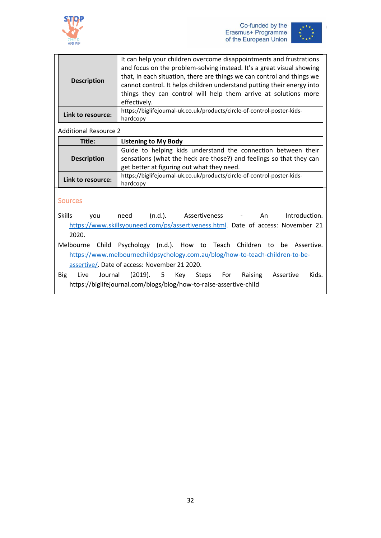



| <b>Description</b> | It can help your children overcome disappointments and frustrations<br>and focus on the problem-solving instead. It's a great visual showing<br>that, in each situation, there are things we can control and things we<br>cannot control. It helps children understand putting their energy into<br>things they can control will help them arrive at solutions more<br>effectively. |
|--------------------|-------------------------------------------------------------------------------------------------------------------------------------------------------------------------------------------------------------------------------------------------------------------------------------------------------------------------------------------------------------------------------------|
| Link to resource:  | https://biglifejournal-uk.co.uk/products/circle-of-control-poster-kids-<br>hardcopy                                                                                                                                                                                                                                                                                                 |

#### Additional Resource 2

| Title:             | <b>Listening to My Body</b>                                                                                                                                                        |
|--------------------|------------------------------------------------------------------------------------------------------------------------------------------------------------------------------------|
| <b>Description</b> | Guide to helping kids understand the connection between their<br>sensations (what the heck are those?) and feelings so that they can<br>get better at figuring out what they need. |
| Link to resource:  | https://biglifejournal-uk.co.uk/products/circle-of-control-poster-kids-<br>hardcopy                                                                                                |

#### Sources

| <b>Skills</b> |       | vou     | need                                                                             | (n.d.).                 |  | Assertiveness - An |           | Introduction. |       |
|---------------|-------|---------|----------------------------------------------------------------------------------|-------------------------|--|--------------------|-----------|---------------|-------|
|               |       |         | https://www.skillsyouneed.com/ps/assertiveness.html. Date of access: November 21 |                         |  |                    |           |               |       |
|               | 2020. |         |                                                                                  |                         |  |                    |           |               |       |
|               |       |         | Melbourne Child Psychology (n.d.). How to Teach Children to be Assertive.        |                         |  |                    |           |               |       |
|               |       |         | https://www.melbournechildpsychology.com.au/blog/how-to-teach-children-to-be-    |                         |  |                    |           |               |       |
|               |       |         | assertive/. Date of access: November 21 2020.                                    |                         |  |                    |           |               |       |
| Big           | Live  | Journal |                                                                                  | (2019). 5 Key Steps For |  | Raising            | Assertive |               | Kids. |
|               |       |         | https://biglifejournal.com/blogs/blog/how-to-raise-assertive-child               |                         |  |                    |           |               |       |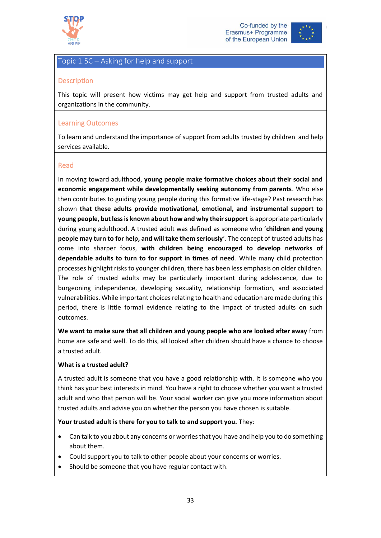



# Topic 1.5C – Asking for help and support

#### **Description**

This topic will present how victims may get help and support from trusted adults and organizations in the community.

#### Learning Outcomes

To learn and understand the importance of support from adults trusted by children and help services available.

#### Read

In moving toward adulthood, **young people make formative choices about their social and economic engagement while developmentally seeking autonomy from parents**. Who else then contributes to guiding young people during this formative life-stage? Past research has shown **that these adults provide motivational, emotional, and instrumental support to young people, but less is known about how and why their support** is appropriate particularly during young adulthood. A trusted adult was defined as someone who '**children and young people may turn to for help, and will take them seriously**'. The concept of trusted adults has come into sharper focus, **with children being encouraged to develop networks of dependable adults to turn to for support in times of need**. While many child protection processes highlight risks to younger children, there has been less emphasis on older children. The role of trusted adults may be particularly important during adolescence, due to burgeoning independence, developing sexuality, relationship formation, and associated vulnerabilities. While important choices relating to health and education are made during this period, there is little formal evidence relating to the impact of trusted adults on such outcomes.

**We want to make sure that all children and young people who are looked after away** from home are safe and well. To do this, all looked after children should have a chance to choose a trusted adult.

#### **What is a trusted adult?**

A trusted adult is someone that you have a good relationship with. It is someone who you think has your best interests in mind. You have a right to choose whether you want a trusted adult and who that person will be. Your social worker can give you more information about trusted adults and advise you on whether the person you have chosen is suitable.

#### **Your trusted adult is there for you to talk to and support you.** They:

- Can talk to you about any concerns or worries that you have and help you to do something about them.
- Could support you to talk to other people about your concerns or worries.
- Should be someone that you have regular contact with.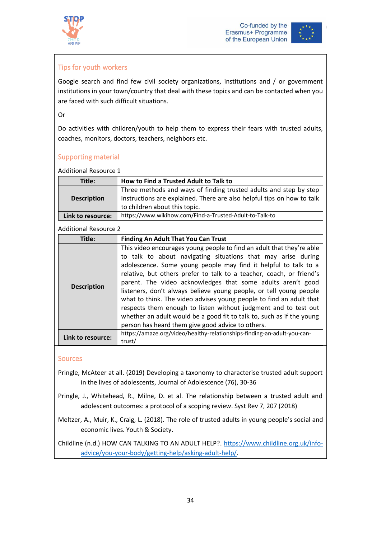



# Tips for youth workers

Google search and find few civil society organizations, institutions and / or government institutions in your town/country that deal with these topics and can be contacted when you are faced with such difficult situations.

Or

Do activities with children/youth to help them to express their fears with trusted adults, coaches, monitors, doctors, teachers, neighbors etc.

# Supporting material

Additional Resource 1

| Title:                       | How to Find a Trusted Adult to Talk to                                                                                                                                                                                                                                                                                                                                                                                                                                                                                                                                                                                                                                                        |  |  |  |
|------------------------------|-----------------------------------------------------------------------------------------------------------------------------------------------------------------------------------------------------------------------------------------------------------------------------------------------------------------------------------------------------------------------------------------------------------------------------------------------------------------------------------------------------------------------------------------------------------------------------------------------------------------------------------------------------------------------------------------------|--|--|--|
| <b>Description</b>           | Three methods and ways of finding trusted adults and step by step<br>instructions are explained. There are also helpful tips on how to talk<br>to children about this topic.                                                                                                                                                                                                                                                                                                                                                                                                                                                                                                                  |  |  |  |
| Link to resource:            | https://www.wikihow.com/Find-a-Trusted-Adult-to-Talk-to                                                                                                                                                                                                                                                                                                                                                                                                                                                                                                                                                                                                                                       |  |  |  |
| <b>Additional Resource 2</b> |                                                                                                                                                                                                                                                                                                                                                                                                                                                                                                                                                                                                                                                                                               |  |  |  |
| Title:                       | <b>Finding An Adult That You Can Trust</b>                                                                                                                                                                                                                                                                                                                                                                                                                                                                                                                                                                                                                                                    |  |  |  |
| <b>Description</b>           | This video encourages young people to find an adult that they're able<br>to talk to about navigating situations that may arise during<br>adolescence. Some young people may find it helpful to talk to a<br>relative, but others prefer to talk to a teacher, coach, or friend's<br>parent. The video acknowledges that some adults aren't good<br>listeners, don't always believe young people, or tell young people<br>what to think. The video advises young people to find an adult that<br>respects them enough to listen without judgment and to test out<br>whether an adult would be a good fit to talk to, such as if the young<br>person has heard them give good advice to others. |  |  |  |
| Link to resource:            | https://amaze.org/video/healthy-relationships-finding-an-adult-you-can-<br>trust/                                                                                                                                                                                                                                                                                                                                                                                                                                                                                                                                                                                                             |  |  |  |

# **Sources**

- Pringle, McAteer at all. (2019) Developing a taxonomy to characterise trusted adult support in the lives of adolescents, Journal of Adolescence (76), 30-36
- Pringle, J., Whitehead, R., Milne, D. et al. The relationship between a trusted adult and adolescent outcomes: a protocol of a scoping review. Syst Rev 7, 207 (2018)

Meltzer, A., Muir, K., Craig, L. (2018). The role of trusted adults in young people's social and economic lives. Youth & Society.

Childline (n.d.) HOW CAN TALKING TO AN ADULT HELP?. [https://www.childline.org.uk/info](https://www.childline.org.uk/info-advice/you-your-body/getting-help/asking-adult-help/)[advice/you-your-body/getting-help/asking-adult-help/.](https://www.childline.org.uk/info-advice/you-your-body/getting-help/asking-adult-help/)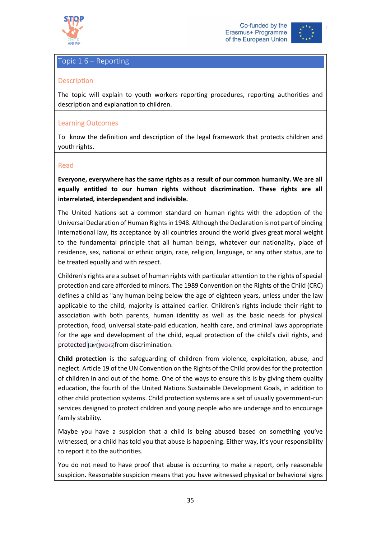





# Topic 1.6 – Reporting

#### **Description**

The topic will explain to youth workers reporting procedures, reporting authorities and description and explanation to children.

#### Learning Outcomes

To know the definition and description of the legal framework that protects children and youth rights.

#### Read

**Everyone, everywhere has the same rights as a result of our common humanity. We are all equally entitled to our human rights without discrimination. These rights are all interrelated, interdependent and indivisible.**

The United Nations set a common standard on human rights with the adoption of the Universal Declaration of Human Rights in 1948. Although the Declaration is not part of binding international law, its acceptance by all countries around the world gives great moral weight to the fundamental principle that all human beings, whatever our nationality, place of residence, sex, national or ethnic origin, race, religion, language, or any other status, are to be treated equally and with respect.

Children's rights are a subset of human rights with particular attention to the rights of special protection and care afforded to minors. The 1989 Convention on the Rights of the Child (CRC) defines a child as "any human being below the age of eighteen years, unless under the law applicable to the child, majority is attained earlier. Children's rights include their right to association with both parents, human identity as well as the basic needs for physical protection, food, universal state-paid education, health care, and criminal laws appropriate for the age and development of the child, equal protection of the child's civil rights, and protected [EK4][MCH5]from discrimination.

**Child protection** is the safeguarding of children from violence, exploitation, abuse, and neglect. Article 19 of the UN Convention on the Rights of the Child provides for the protection of children in and out of the home. One of the ways to ensure this is by giving them quality education, the fourth of the United Nations Sustainable Development Goals, in addition to other child protection systems. Child protection systems are a set of usually government-run services designed to protect children and young people who are underage and to encourage family stability.

Maybe you have a suspicion that a child is being abused based on something you've witnessed, or a child has told you that abuse is happening. Either way, it's your responsibility to report it to the authorities.

You do not need to have proof that abuse is occurring to make a report, only reasonable suspicion. Reasonable suspicion means that you have witnessed physical or behavioral signs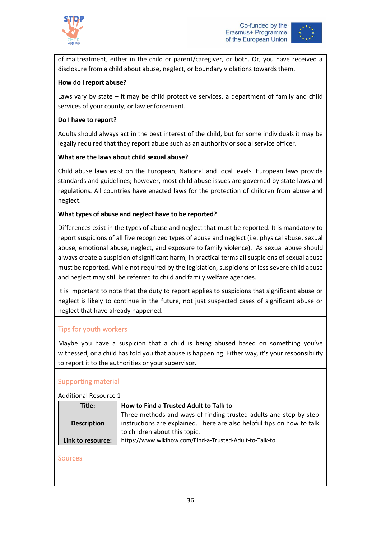



of maltreatment, either in the child or parent/caregiver, or both. Or, you have received a disclosure from a child about abuse, neglect, or boundary violations towards them.

#### **How do I report abuse?**

Laws vary by state – it may be child protective services, a department of family and child services of your county, or law enforcement.

#### **Do I have to report?**

Adults should always act in the best interest of the child, but for some individuals it may be legally required that they report abuse such as an authority or social service officer.

#### **What are the laws about child sexual abuse?**

Child abuse laws exist on the European, National and local levels. European laws provide standards and guidelines; however, most child abuse issues are governed by state laws and regulations. All countries have enacted laws for the protection of children from abuse and neglect.

#### **What types of abuse and neglect have to be reported?**

Differences exist in the types of abuse and neglect that must be reported. It is mandatory to report suspicions of all five recognized types of abuse and neglect (i.e. physical abuse, sexual abuse, emotional abuse, neglect, and exposure to family violence). As sexual abuse should always create a suspicion of significant harm, in practical terms all suspicions of sexual abuse must be reported. While not required by the legislation, suspicions of less severe child abuse and neglect may still be referred to child and family welfare agencies.

It is important to note that the duty to report applies to suspicions that significant abuse or neglect is likely to continue in the future, not just suspected cases of significant abuse or neglect that have already happened.

### Tips for youth workers

Maybe you have a suspicion that a child is being abused based on something you've witnessed, or a child has told you that abuse is happening. Either way, it's your responsibility to report it to the authorities or your supervisor.

### Supporting material

#### Additional Resource 1

| Title:             | How to Find a Trusted Adult to Talk to                                 |
|--------------------|------------------------------------------------------------------------|
|                    | Three methods and ways of finding trusted adults and step by step      |
| <b>Description</b> | instructions are explained. There are also helpful tips on how to talk |
|                    | to children about this topic.                                          |
| Link to resource:  | https://www.wikihow.com/Find-a-Trusted-Adult-to-Talk-to                |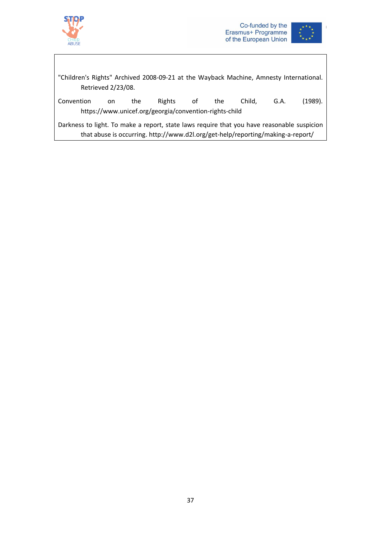





"Children's Rights" Archived 2008-09-21 at the Wayback Machine, Amnesty International. Retrieved 2/23/08.

Convention on the Rights of the Child, G.A. (1989). https://www.unicef.org/georgia/convention-rights-child

Darkness to light. To make a report, state laws require that you have reasonable suspicion that abuse is occurring. http://www.d2l.org/get-help/reporting/making-a-report/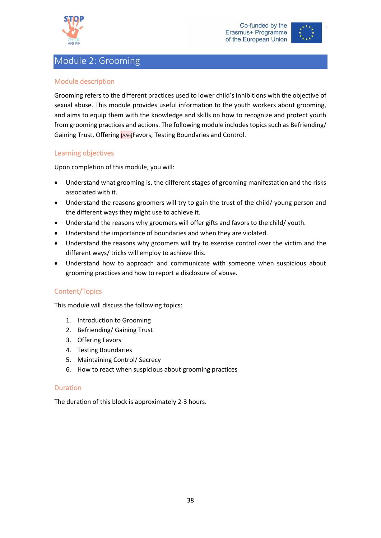



# Module 2: Grooming

### Module description

Grooming refers to the different practices used to lower child's inhibitions with the objective of sexual abuse. This module provides useful information to the youth workers about grooming, and aims to equip them with the knowledge and skills on how to recognize and protect youth from grooming practices and actions. The following module includes topics such as Befriending/ Gaining Trust, Offering [AA6]Favors, Testing Boundaries and Control.

### Learning objectives

Upon completion of this module, you will:

- Understand what grooming is, the different stages of grooming manifestation and the risks associated with it.
- Understand the reasons groomers will try to gain the trust of the child/ young person and the different ways they might use to achieve it.
- Understand the reasons why groomers will offer gifts and favors to the child/ youth.
- Understand the importance of boundaries and when they are violated.
- Understand the reasons why groomers will try to exercise control over the victim and the different ways/ tricks will employ to achieve this.
- Understand how to approach and communicate with someone when suspicious about grooming practices and how to report a disclosure of abuse.

### Content/Topics

This module will discuss the following topics:

- 1. Introduction to Grooming
- 2. Befriending/ Gaining Trust
- 3. Offering Favors
- 4. Testing Boundaries
- 5. Maintaining Control/ Secrecy
- 6. How to react when suspicious about grooming practices

#### Duration

The duration of this block is approximately 2-3 hours.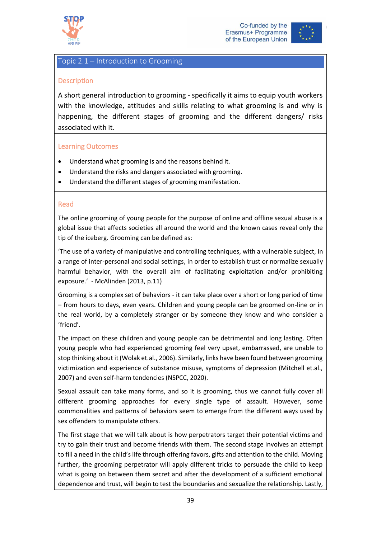



## Topic 2.1 – Introduction to Grooming

### **Description**

A short general introduction to grooming - specifically it aims to equip youth workers with the knowledge, attitudes and skills relating to what grooming is and why is happening, the different stages of grooming and the different dangers/ risks associated with it.

### Learning Outcomes

- Understand what grooming is and the reasons behind it.
- Understand the risks and dangers associated with grooming.
- Understand the different stages of grooming manifestation.

#### Read

The online grooming of young people for the purpose of online and offline sexual abuse is a global issue that affects societies all around the world and the known cases reveal only the tip of the iceberg. Grooming can be defined as:

'The use of a variety of manipulative and controlling techniques, with a vulnerable subject, in a range of inter-personal and social settings, in order to establish trust or normalize sexually harmful behavior, with the overall aim of facilitating exploitation and/or prohibiting exposure.' - McAlinden (2013, p.11)

Grooming is a complex set of behaviors - it can take place over a short or long period of time – from hours to days, even years. Children and young people can be groomed on-line or in the real world, by a completely stranger or by someone they know and who consider a 'friend'.

The impact on these children and young people can be detrimental and long lasting. Often young people who had experienced grooming feel very upset, embarrassed, are unable to stop thinking about it (Wolak et.al., 2006). Similarly, links have been found between grooming victimization and experience of substance misuse, symptoms of depression (Mitchell et.al., 2007) and even self-harm tendencies (NSPCC, 2020).

Sexual assault can take many forms, and so it is grooming, thus we cannot fully cover all different grooming approaches for every single type of assault. However, some commonalities and patterns of behaviors seem to emerge from the different ways used by sex offenders to manipulate others.

The first stage that we will talk about is how perpetrators target their potential victims and try to gain their trust and become friends with them. The second stage involves an attempt to fill a need in the child's life through offering favors, gifts and attention to the child. Moving further, the grooming perpetrator will apply different tricks to persuade the child to keep what is going on between them secret and after the development of a sufficient emotional dependence and trust, will begin to test the boundaries and sexualize the relationship. Lastly,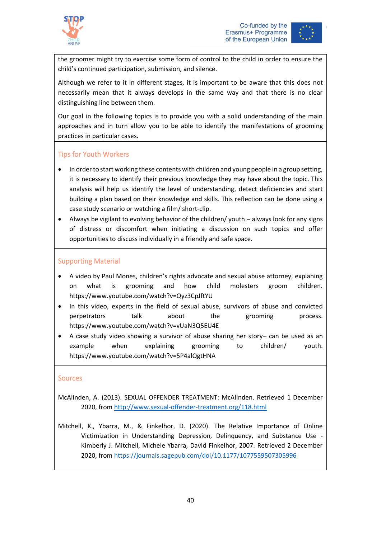



the groomer might try to exercise some form of control to the child in order to ensure the child's continued participation, submission, and silence.

Although we refer to it in different stages, it is important to be aware that this does not necessarily mean that it always develops in the same way and that there is no clear distinguishing line between them.

Our goal in the following topics is to provide you with a solid understanding of the main approaches and in turn allow you to be able to identify the manifestations of grooming practices in particular cases.

### Tips for Youth Workers

- In order to start working these contents with children and young people in a group setting, it is necessary to identify their previous knowledge they may have about the topic. This analysis will help us identify the level of understanding, detect deficiencies and start building a plan based on their knowledge and skills. This reflection can be done using a case study scenario or watching a film/ short-clip.
- Always be vigilant to evolving behavior of the children/ youth always look for any signs of distress or discomfort when initiating a discussion on such topics and offer opportunities to discuss individually in a friendly and safe space.

#### Supporting Material

- A video by Paul Mones, children's rights advocate and sexual abuse attorney, explaning on what is grooming and how child molesters groom children. https://www.youtube.com/watch?v=Qyz3CpJftYU
- In this video, experts in the field of sexual abuse, survivors of abuse and convicted perpetrators talk about the grooming process. https://www.youtube.com/watch?v=vUaN3Q5EU4E
- A case study video showing a survivor of abuse sharing her story– can be used as an example when explaining grooming to children/ youth. https://www.youtube.com/watch?v=5P4alQgtHNA

- McAlinden, A. (2013). SEXUAL OFFENDER TREATMENT: McAlinden. Retrieved 1 December 2020, from<http://www.sexual-offender-treatment.org/118.html>
- Mitchell, K., Ybarra, M., & Finkelhor, D. (2020). The Relative Importance of Online Victimization in Understanding Depression, Delinquency, and Substance Use - Kimberly J. Mitchell, Michele Ybarra, David Finkelhor, 2007. Retrieved 2 December 2020, from<https://journals.sagepub.com/doi/10.1177/1077559507305996>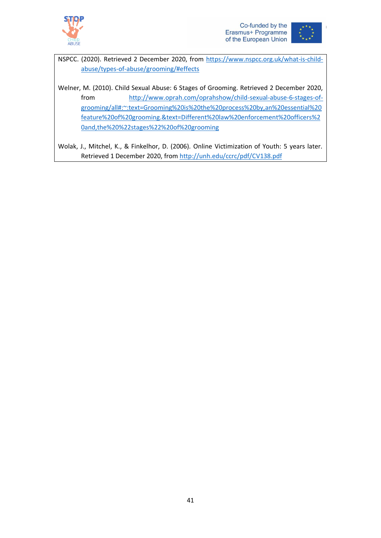



NSPCC. (2020). Retrieved 2 December 2020, from [https://www.nspcc.org.uk/what-is-child](https://www.nspcc.org.uk/what-is-child-abuse/types-of-abuse/grooming/#effects)[abuse/types-of-abuse/grooming/#effects](https://www.nspcc.org.uk/what-is-child-abuse/types-of-abuse/grooming/#effects)

Welner, M. (2010). Child Sexual Abuse: 6 Stages of Grooming. Retrieved 2 December 2020, from [http://www.oprah.com/oprahshow/child-sexual-abuse-6-stages-of](http://www.oprah.com/oprahshow/child-sexual-abuse-6-stages-of-grooming/all#:~:text=Grooming%20is%20the%20process%20by,an%20essential%20feature%20of%20grooming.&text=Different%20law%20enforcement%20officers%20and,the%20%22stages%22%20of%20grooming)[grooming/all#:~:text=Grooming%20is%20the%20process%20by,an%20essential%20](http://www.oprah.com/oprahshow/child-sexual-abuse-6-stages-of-grooming/all#:~:text=Grooming%20is%20the%20process%20by,an%20essential%20feature%20of%20grooming.&text=Different%20law%20enforcement%20officers%20and,the%20%22stages%22%20of%20grooming) [feature%20of%20grooming.&text=Different%20law%20enforcement%20officers%2](http://www.oprah.com/oprahshow/child-sexual-abuse-6-stages-of-grooming/all#:~:text=Grooming%20is%20the%20process%20by,an%20essential%20feature%20of%20grooming.&text=Different%20law%20enforcement%20officers%20and,the%20%22stages%22%20of%20grooming) [0and,the%20%22stages%22%20of%20grooming](http://www.oprah.com/oprahshow/child-sexual-abuse-6-stages-of-grooming/all#:~:text=Grooming%20is%20the%20process%20by,an%20essential%20feature%20of%20grooming.&text=Different%20law%20enforcement%20officers%20and,the%20%22stages%22%20of%20grooming)

Wolak, J., Mitchel, K., & Finkelhor, D. (2006). Online Victimization of Youth: 5 years later. Retrieved 1 December 2020, from<http://unh.edu/ccrc/pdf/CV138.pdf>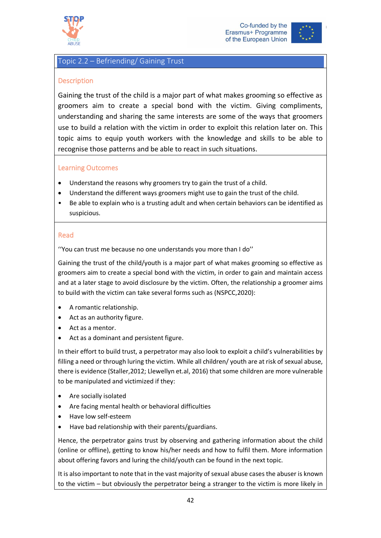



## Topic 2.2 – Befriending/ Gaining Trust

### **Description**

Gaining the trust of the child is a major part of what makes grooming so effective as groomers aim to create a special bond with the victim. Giving compliments, understanding and sharing the same interests are some of the ways that groomers use to build a relation with the victim in order to exploit this relation later on. This topic aims to equip youth workers with the knowledge and skills to be able to recognise those patterns and be able to react in such situations.

### Learning Outcomes

- Understand the reasons why groomers try to gain the trust of a child.
- Understand the different ways groomers might use to gain the trust of the child.
- Be able to explain who is a trusting adult and when certain behaviors can be identified as suspicious.

#### Read

''You can trust me because no one understands you more than I do''

Gaining the trust of the child/youth is a major part of what makes grooming so effective as groomers aim to create a special bond with the victim, in order to gain and maintain access and at a later stage to avoid disclosure by the victim. Often, the relationship a groomer aims to build with the victim can take several forms such as (NSPCC,2020):

- A romantic relationship.
- Act as an authority figure.
- Act as a mentor.
- Act as a dominant and persistent figure.

In their effort to build trust, a perpetrator may also look to exploit a child's vulnerabilities by filling a need or through luring the victim. While all children/ youth are at risk of sexual abuse, there is evidence (Staller,2012; Llewellyn et.al, 2016) that some children are more vulnerable to be manipulated and victimized if they:

- Are socially isolated
- Are facing mental health or behavioral difficulties
- Have low self-esteem
- Have bad relationship with their parents/guardians.

Hence, the perpetrator gains trust by observing and gathering information about the child (online or offline), getting to know his/her needs and how to fulfil them. More information about offering favors and luring the child/youth can be found in the next topic.

It is also important to note that in the vast majority of sexual abuse cases the abuser is known to the victim – but obviously the perpetrator being a stranger to the victim is more likely in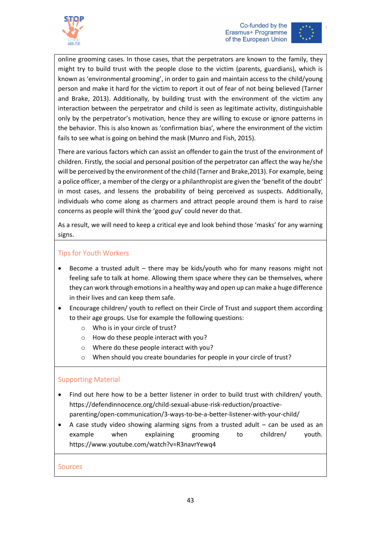



online grooming cases. In those cases, that the perpetrators are known to the family, they might try to build trust with the people close to the victim (parents, guardians), which is known as 'environmental grooming', in order to gain and maintain access to the child/young person and make it hard for the victim to report it out of fear of not being believed (Tarner and Brake, 2013). Additionally, by building trust with the environment of the victim any interaction between the perpetrator and child is seen as legitimate activity, distinguishable only by the perpetrator's motivation, hence they are willing to excuse or ignore patterns in the behavior. This is also known as 'confirmation bias', where the environment of the victim fails to see what is going on behind the mask (Munro and Fish, 2015).

There are various factors which can assist an offender to gain the trust of the environment of children. Firstly, the social and personal position of the perpetrator can affect the way he/she will be perceived by the environment of the child (Tarner and Brake,2013). For example, being a police officer, a member of the clergy or a philanthropist are given the 'benefit of the doubt' in most cases, and lessens the probability of being perceived as suspects. Additionally, individuals who come along as charmers and attract people around them is hard to raise concerns as people will think the 'good guy' could never do that.

As a result, we will need to keep a critical eye and look behind those 'masks' for any warning signs.

### Tips for Youth Workers

- Become a trusted adult there may be kids/youth who for many reasons might not feeling safe to talk at home. Allowing them space where they can be themselves, where they can work through emotions in a healthy way and open up can make a huge difference in their lives and can keep them safe.
- Encourage children/ youth to reflect on their Circle of Trust and support them according to their age groups. Use for example the following questions:
	- o Who is in your circle of trust?
	- o How do these people interact with you?
	- o Where do these people interact with you?
	- o When should you create boundaries for people in your circle of trust?

### Supporting Material

- Find out here how to be a better listener in order to build trust with children/ youth. https://defendinnocence.org/child-sexual-abuse-risk-reduction/proactiveparenting/open-communication/3-ways-to-be-a-better-listener-with-your-child/
- A case study video showing alarming signs from a trusted adult can be used as an example when explaining grooming to children/ youth. https://www.youtube.com/watch?v=R3navrYewq4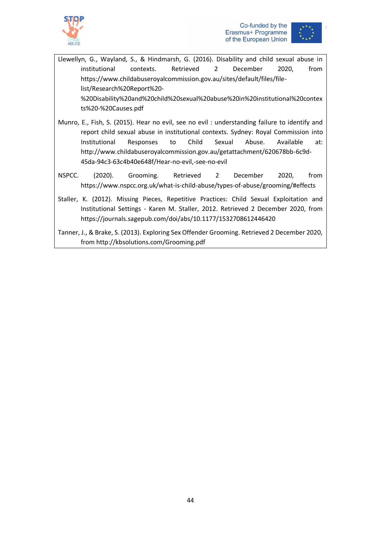



- Llewellyn, G., Wayland, S., & Hindmarsh, G. (2016). Disability and child sexual abuse in institutional contexts. Retrieved 2 December 2020, from https://www.childabuseroyalcommission.gov.au/sites/default/files/filelist/Research%20Report%20- %20Disability%20and%20child%20sexual%20abuse%20in%20institutional%20contex ts%20-%20Causes.pdf Munro, E., Fish, S. (2015). Hear no evil, see no evil : understanding failure to identify and report child sexual abuse in institutional contexts. Sydney: Royal Commission into Institutional Responses to Child Sexual Abuse. Available at: http://www.childabuseroyalcommission.gov.au/getattachment/620678bb-6c9d-45da-94c3-63c4b40e648f/Hear-no-evil,-see-no-evil NSPCC. (2020). Grooming. Retrieved 2 December 2020, from https://www.nspcc.org.uk/what-is-child-abuse/types-of-abuse/grooming/#effects
- Staller, K. (2012). Missing Pieces, Repetitive Practices: Child Sexual Exploitation and Institutional Settings - Karen M. Staller, 2012. Retrieved 2 December 2020, from https://journals.sagepub.com/doi/abs/10.1177/1532708612446420
- Tanner, J., & Brake, S. (2013). Exploring Sex Offender Grooming. Retrieved 2 December 2020, from http://kbsolutions.com/Grooming.pdf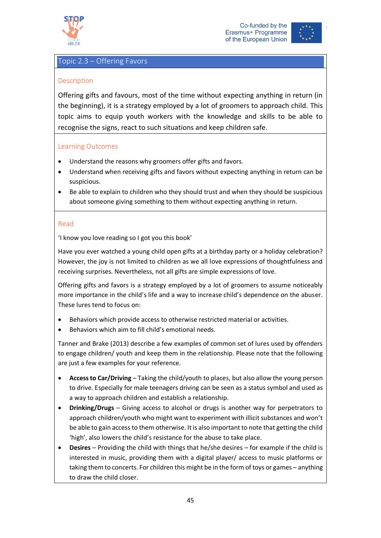



## Topic 2.3 – Offering Favors

### **Description**

Offering gifts and favours, most of the time without expecting anything in return (in the beginning), it is a strategy employed by a lot of groomers to approach child. This topic aims to equip youth workers with the knowledge and skills to be able to recognise the signs, react to such situations and keep children safe.

### Learning Outcomes

- Understand the reasons why groomers offer gifts and favors.
- Understand when receiving gifts and favors without expecting anything in return can be suspicious.
- Be able to explain to children who they should trust and when they should be suspicious about someone giving something to them without expecting anything in return.

### Read

'I know you love reading so I got you this book'

Have you ever watched a young child open gifts at a birthday party or a holiday celebration? However, the joy is not limited to children as we all love expressions of thoughtfulness and receiving surprises. Nevertheless, not all gifts are simple expressions of love.

Offering gifts and favors is a strategy employed by a lot of groomers to assume noticeably more importance in the child's life and a way to increase child's dependence on the abuser. These lures tend to focus on:

- Behaviors which provide access to otherwise restricted material or activities.
- Behaviors which aim to fill child's emotional needs.

Tanner and Brake (2013) describe a few examples of common set of lures used by offenders to engage children/ youth and keep them in the relationship. Please note that the following are just a few examples for your reference.

- **Access to Car/Driving** Taking the child/youth to places, but also allow the young person to drive. Especially for male teenagers driving can be seen as a status symbol and used as a way to approach children and establish a relationship.
- **Drinking/Drugs** Giving access to alcohol or drugs is another way for perpetrators to approach children/youth who might want to experiment with illicit substances and won't be able to gain access to them otherwise. It is also important to note that getting the child 'high', also lowers the child's resistance for the abuse to take place.
- **Desires** Providing the child with things that he/she desires for example if the child is interested in music, providing them with a digital player/ access to music platforms or taking them to concerts. For children this might be in the form of toys or games – anything to draw the child closer.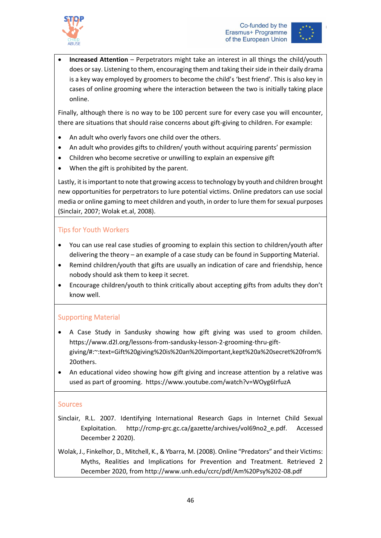



• **Increased Attention** – Perpetrators might take an interest in all things the child/youth does or say. Listening to them, encouraging them and taking their side in their daily drama is a key way employed by groomers to become the child's 'best friend'. This is also key in cases of online grooming where the interaction between the two is initially taking place online.

Finally, although there is no way to be 100 percent sure for every case you will encounter, there are situations that should raise concerns about gift-giving to children. For example:

- An adult who overly favors one child over the others.
- An adult who provides gifts to children/ youth without acquiring parents' permission
- Children who become secretive or unwilling to explain an expensive gift
- When the gift is prohibited by the parent.

Lastly, it is important to note that growing access to technology by youth and children brought new opportunities for perpetrators to lure potential victims. Online predators can use social media or online gaming to meet children and youth, in order to lure them for sexual purposes (Sinclair, 2007; Wolak et.al, 2008).

## Tips for Youth Workers

- You can use real case studies of grooming to explain this section to children/youth after delivering the theory – an example of a case study can be found in Supporting Material.
- Remind children/youth that gifts are usually an indication of care and friendship, hence nobody should ask them to keep it secret.
- Encourage children/youth to think critically about accepting gifts from adults they don't know well.

## Supporting Material

- A Case Study in Sandusky showing how gift giving was used to groom childen. https://www.d2l.org/lessons-from-sandusky-lesson-2-grooming-thru-giftgiving/#:~:text=Gift%20giving%20is%20an%20important,kept%20a%20secret%20from% 20others.
- An educational video showing how gift giving and increase attention by a relative was used as part of grooming. https://www.youtube.com/watch?v=WOyg6IrfuzA

- Sinclair, R.L. 2007. Identifying International Research Gaps in Internet Child Sexual Exploitation. http://rcmp-grc.gc.ca/gazette/archives/vol69no2\_e.pdf. Accessed December 2 2020).
- Wolak, J., Finkelhor, D., Mitchell, K., & Ybarra, M. (2008). Online "Predators" and their Victims: Myths, Realities and Implications for Prevention and Treatment. Retrieved 2 December 2020, from http://www.unh.edu/ccrc/pdf/Am%20Psy%202-08.pdf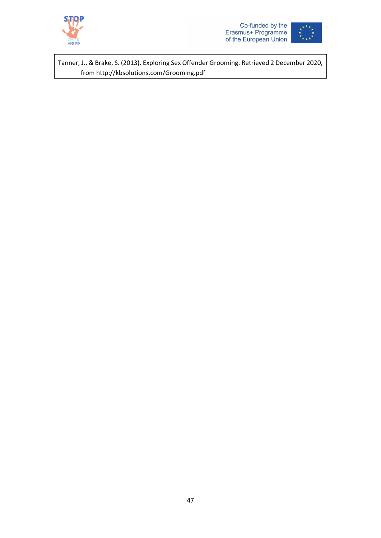



Tanner, J., & Brake, S. (2013). Exploring Sex Offender Grooming. Retrieved 2 December 2020, from http://kbsolutions.com/Grooming.pdf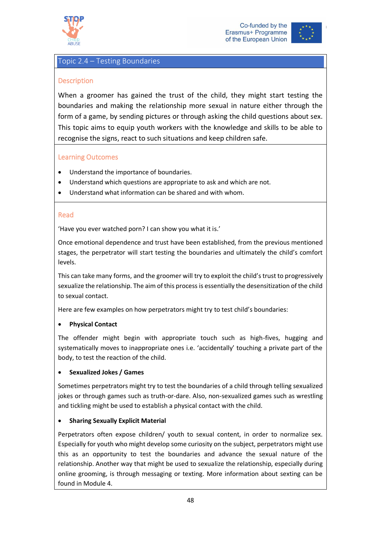



## Topic 2.4 – Testing Boundaries

### **Description**

When a groomer has gained the trust of the child, they might start testing the boundaries and making the relationship more sexual in nature either through the form of a game, by sending pictures or through asking the child questions about sex. This topic aims to equip youth workers with the knowledge and skills to be able to recognise the signs, react to such situations and keep children safe.

### Learning Outcomes

- Understand the importance of boundaries.
- Understand which questions are appropriate to ask and which are not.
- Understand what information can be shared and with whom.

#### Read

'Have you ever watched porn? I can show you what it is.'

Once emotional dependence and trust have been established, from the previous mentioned stages, the perpetrator will start testing the boundaries and ultimately the child's comfort levels.

This can take many forms, and the groomer will try to exploit the child's trust to progressively sexualize the relationship. The aim of this process is essentially the desensitization of the child to sexual contact.

Here are few examples on how perpetrators might try to test child's boundaries:

### • **Physical Contact**

The offender might begin with appropriate touch such as high-fives, hugging and systematically moves to inappropriate ones i.e. 'accidentally' touching a private part of the body, to test the reaction of the child.

### • **Sexualized Jokes / Games**

Sometimes perpetrators might try to test the boundaries of a child through telling sexualized jokes or through games such as truth-or-dare. Also, non-sexualized games such as wrestling and tickling might be used to establish a physical contact with the child.

### • **Sharing Sexually Explicit Material**

Perpetrators often expose children/ youth to sexual content, in order to normalize sex. Especially for youth who might develop some curiosity on the subject, perpetrators might use this as an opportunity to test the boundaries and advance the sexual nature of the relationship. Another way that might be used to sexualize the relationship, especially during online grooming, is through messaging or texting. More information about sexting can be found in Module 4.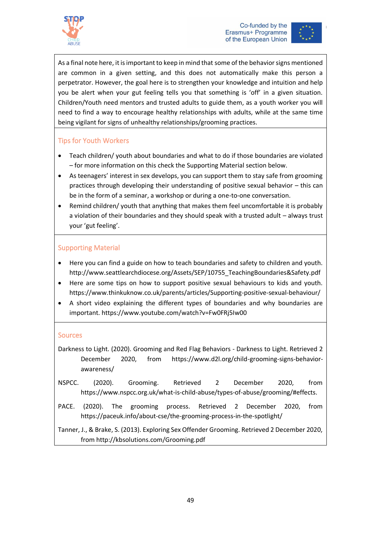



As a final note here, it is important to keep in mind that some of the behavior signs mentioned are common in a given setting, and this does not automatically make this person a perpetrator. However, the goal here is to strengthen your knowledge and intuition and help you be alert when your gut feeling tells you that something is 'off' in a given situation. Children/Youth need mentors and trusted adults to guide them, as a youth worker you will need to find a way to encourage healthy relationships with adults, while at the same time being vigilant for signs of unhealthy relationships/grooming practices.

## Tips for Youth Workers

- Teach children/ youth about boundaries and what to do if those boundaries are violated – for more information on this check the Supporting Material section below.
- As teenagers' interest in sex develops, you can support them to stay safe from grooming practices through developing their understanding of positive sexual behavior – this can be in the form of a seminar, a workshop or during a one-to-one conversation.
- Remind children/ youth that anything that makes them feel uncomfortable it is probably a violation of their boundaries and they should speak with a trusted adult – always trust your 'gut feeling'.

### Supporting Material

- Here you can find a guide on how to teach boundaries and safety to children and youth. http://www.seattlearchdiocese.org/Assets/SEP/10755\_TeachingBoundaries&Safety.pdf
- Here are some tips on how to support positive sexual behaviours to kids and youth. https://www.thinkuknow.co.uk/parents/articles/Supporting-positive-sexual-behaviour/
- A short video explaining the different types of boundaries and why boundaries are important. https://www.youtube.com/watch?v=Fw0FRj5Iw00

### **Sources**

- Darkness to Light. (2020). Grooming and Red Flag Behaviors Darkness to Light. Retrieved 2 December 2020, from https://www.d2l.org/child-grooming-signs-behaviorawareness/
- NSPCC. (2020). Grooming. Retrieved 2 December 2020, from https://www.nspcc.org.uk/what-is-child-abuse/types-of-abuse/grooming/#effects.
- PACE. (2020). The grooming process. Retrieved 2 December 2020, from https://paceuk.info/about-cse/the-grooming-process-in-the-spotlight/

Tanner, J., & Brake, S. (2013). Exploring Sex Offender Grooming. Retrieved 2 December 2020, from http://kbsolutions.com/Grooming.pdf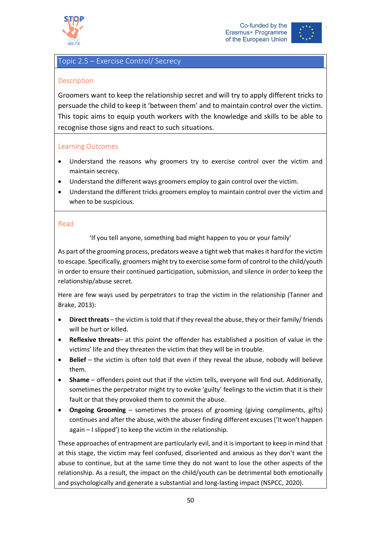



## Topic 2.5 – Exercise Control/ Secrecy

### **Description**

Groomers want to keep the relationship secret and will try to apply different tricks to persuade the child to keep it 'between them' and to maintain control over the victim. This topic aims to equip youth workers with the knowledge and skills to be able to recognise those signs and react to such situations.

### Learning Outcomes

- Understand the reasons why groomers try to exercise control over the victim and maintain secrecy.
- Understand the different ways groomers employ to gain control over the victim.
- Understand the different tricks groomers employ to maintain control over the victim and when to be suspicious.

#### Read

'If you tell anyone, something bad might happen to you or your family'

As part of the grooming process, predators weave a tight web that makes it hard for the victim to escape. Specifically, groomers might try to exercise some form of control to the child/youth in order to ensure their continued participation, submission, and silence in order to keep the relationship/abuse secret.

Here are few ways used by perpetrators to trap the victim in the relationship (Tanner and Brake, 2013):

- **Direct threats** the victim is told that if they reveal the abuse, they or their family/ friends will be hurt or killed.
- **Reflexive threats** at this point the offender has established a position of value in the victims' life and they threaten the victim that they will be in trouble.
- **Belief** the victim is often told that even if they reveal the abuse, nobody will believe them.
- **Shame** offenders point out that if the victim tells, everyone will find out. Additionally, sometimes the perpetrator might try to evoke 'guilty' feelings to the victim that it is their fault or that they provoked them to commit the abuse.
- **Ongoing Grooming** sometimes the process of grooming (giving compliments, gifts) continues and after the abuse, with the abuser finding different excuses ('It won't happen again – I slipped') to keep the victim in the relationship.

These approaches of entrapment are particularly evil, and it is important to keep in mind that at this stage, the victim may feel confused, disoriented and anxious as they don't want the abuse to continue, but at the same time they do not want to lose the other aspects of the relationship. As a result, the impact on the child/youth can be detrimental both emotionally and psychologically and generate a substantial and long-lasting impact (NSPCC, 2020).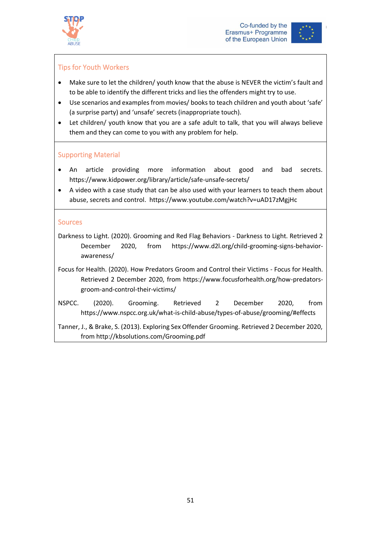



## Tips for Youth Workers

- Make sure to let the children/ youth know that the abuse is NEVER the victim's fault and to be able to identify the different tricks and lies the offenders might try to use.
- Use scenarios and examples from movies/ books to teach children and youth about 'safe' (a surprise party) and 'unsafe' secrets (inappropriate touch).
- Let children/ youth know that you are a safe adult to talk, that you will always believe them and they can come to you with any problem for help.

### Supporting Material

- An article providing more information about good and bad secrets. https://www.kidpower.org/library/article/safe-unsafe-secrets/
- A video with a case study that can be also used with your learners to teach them about abuse, secrets and control. https://www.youtube.com/watch?v=uAD17zMgjHc

### **Sources**

Darkness to Light. (2020). Grooming and Red Flag Behaviors - Darkness to Light. Retrieved 2 December 2020, from https://www.d2l.org/child-grooming-signs-behaviorawareness/

Focus for Health. (2020). How Predators Groom and Control their Victims - Focus for Health. Retrieved 2 December 2020, from https://www.focusforhealth.org/how-predatorsgroom-and-control-their-victims/

NSPCC. (2020). Grooming. Retrieved 2 December 2020, from https://www.nspcc.org.uk/what-is-child-abuse/types-of-abuse/grooming/#effects

Tanner, J., & Brake, S. (2013). Exploring Sex Offender Grooming. Retrieved 2 December 2020, from http://kbsolutions.com/Grooming.pdf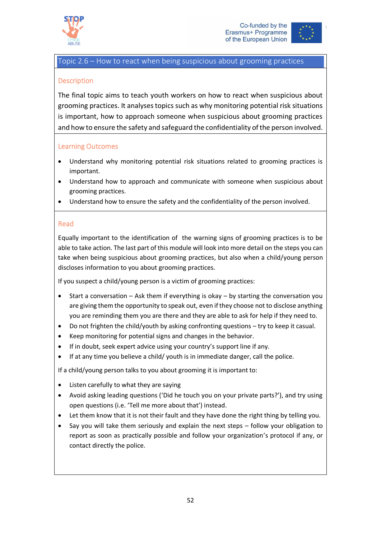



## Topic 2.6 – How to react when being suspicious about grooming practices

### **Description**

The final topic aims to teach youth workers on how to react when suspicious about grooming practices. It analyses topics such as why monitoring potential risk situations is important, how to approach someone when suspicious about grooming practices and how to ensure the safety and safeguard the confidentiality of the person involved.

### Learning Outcomes

- Understand why monitoring potential risk situations related to grooming practices is important.
- Understand how to approach and communicate with someone when suspicious about grooming practices.
- Understand how to ensure the safety and the confidentiality of the person involved.

### Read

Equally important to the identification of the warning signs of grooming practices is to be able to take action. The last part of this module will look into more detail on the steps you can take when being suspicious about grooming practices, but also when a child/young person discloses information to you about grooming practices.

If you suspect a child/young person is a victim of grooming practices:

- Start a conversation Ask them if everything is okay by starting the conversation you are giving them the opportunity to speak out, even if they choose not to disclose anything you are reminding them you are there and they are able to ask for help if they need to.
- Do not frighten the child/youth by asking confronting questions try to keep it casual.
- Keep monitoring for potential signs and changes in the behavior.
- If in doubt, seek expert advice using your country's support line if any.
- If at any time you believe a child/ youth is in immediate danger, call the police.

If a child/young person talks to you about grooming it is important to:

- Listen carefully to what they are saying
- Avoid asking leading questions ('Did he touch you on your private parts?'), and try using open questions (i.e. 'Tell me more about that') instead.
- Let them know that it is not their fault and they have done the right thing by telling you.
- Say you will take them seriously and explain the next steps follow your obligation to report as soon as practically possible and follow your organization's protocol if any, or contact directly the police.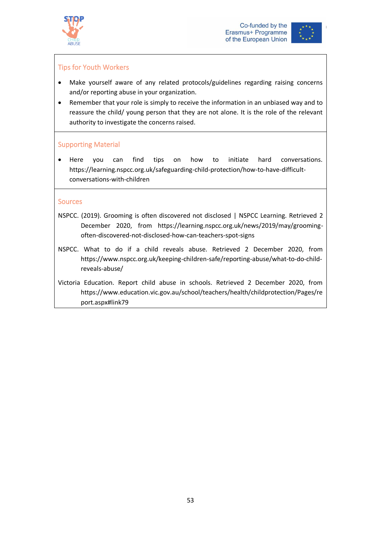



## Tips for Youth Workers

- Make yourself aware of any related protocols/guidelines regarding raising concerns and/or reporting abuse in your organization.
- Remember that your role is simply to receive the information in an unbiased way and to reassure the child/ young person that they are not alone. It is the role of the relevant authority to investigate the concerns raised.

### Supporting Material

• Here you can find tips on how to initiate hard conversations. https://learning.nspcc.org.uk/safeguarding-child-protection/how-to-have-difficultconversations-with-children

- NSPCC. (2019). Grooming is often discovered not disclosed | NSPCC Learning. Retrieved 2 December 2020, from https://learning.nspcc.org.uk/news/2019/may/groomingoften-discovered-not-disclosed-how-can-teachers-spot-signs
- NSPCC. What to do if a child reveals abuse. Retrieved 2 December 2020, from https://www.nspcc.org.uk/keeping-children-safe/reporting-abuse/what-to-do-childreveals-abuse/
- Victoria Education. Report child abuse in schools. Retrieved 2 December 2020, from https://www.education.vic.gov.au/school/teachers/health/childprotection/Pages/re port.aspx#link79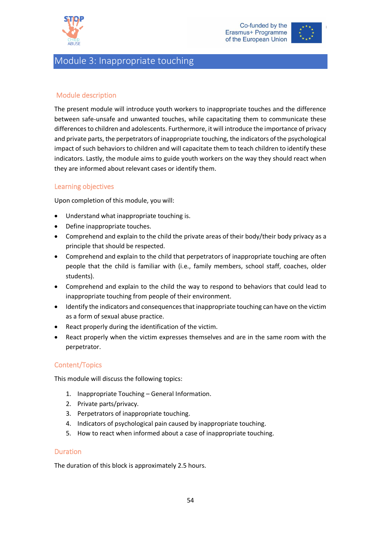



# Module 3: Inappropriate touching

### Module description

The present module will introduce youth workers to inappropriate touches and the difference between safe-unsafe and unwanted touches, while capacitating them to communicate these differences to children and adolescents. Furthermore, it will introduce the importance of privacy and private parts, the perpetrators of inappropriate touching, the indicators of the psychological impact of such behaviors to children and will capacitate them to teach children to identify these indicators. Lastly, the module aims to guide youth workers on the way they should react when they are informed about relevant cases or identify them.

### Learning objectives

Upon completion of this module, you will:

- Understand what inappropriate touching is.
- Define inappropriate touches.
- Comprehend and explain to the child the private areas of their body/their body privacy as a principle that should be respected.
- Comprehend and explain to the child that perpetrators of inappropriate touching are often people that the child is familiar with (i.e., family members, school staff, coaches, older students).
- Comprehend and explain to the child the way to respond to behaviors that could lead to inappropriate touching from people of their environment.
- Identify the indicators and consequences that inappropriate touching can have on the victim as a form of sexual abuse practice.
- React properly during the identification of the victim.
- React properly when the victim expresses themselves and are in the same room with the perpetrator.

### Content/Topics

This module will discuss the following topics:

- 1. Inappropriate Touching General Information.
- 2. Private parts/privacy.
- 3. Perpetrators of inappropriate touching.
- 4. Indicators of psychological pain caused by inappropriate touching.
- 5. How to react when informed about a case of inappropriate touching.

#### Duration

The duration of this block is approximately 2.5 hours.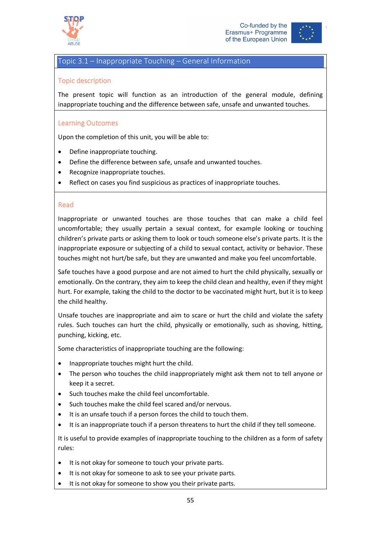



### Topic 3.1 – Inappropriate Touching – General Information

### Topic description

The present topic will function as an introduction of the general module, defining inappropriate touching and the difference between safe, unsafe and unwanted touches.

### Learning Outcomes

Upon the completion of this unit, you will be able to:

- Define inappropriate touching.
- Define the difference between safe, unsafe and unwanted touches.
- Recognize inappropriate touches.
- Reflect on cases you find suspicious as practices of inappropriate touches.

#### Read

Inappropriate or unwanted touches are those touches that can make a child feel uncomfortable; they usually pertain a sexual context, for example looking or touching children's private parts or asking them to look or touch someone else's private parts. It is the inappropriate exposure or subjecting of a child to sexual contact, activity or behavior. These touches might not hurt/be safe, but they are unwanted and make you feel uncomfortable.

Safe touches have a good purpose and are not aimed to hurt the child physically, sexually or emotionally. On the contrary, they aim to keep the child clean and healthy, even if they might hurt. For example, taking the child to the doctor to be vaccinated might hurt, but it is to keep the child healthy.

Unsafe touches are inappropriate and aim to scare or hurt the child and violate the safety rules. Such touches can hurt the child, physically or emotionally, such as shoving, hitting, punching, kicking, etc.

Some characteristics of inappropriate touching are the following:

- Inappropriate touches might hurt the child.
- The person who touches the child inappropriately might ask them not to tell anyone or keep it a secret.
- Such touches make the child feel uncomfortable.
- Such touches make the child feel scared and/or nervous.
- It is an unsafe touch if a person forces the child to touch them.
- It is an inappropriate touch if a person threatens to hurt the child if they tell someone.

It is useful to provide examples of inappropriate touching to the children as a form of safety rules:

- It is not okay for someone to touch your private parts.
- It is not okay for someone to ask to see your private parts.
- It is not okay for someone to show you their private parts.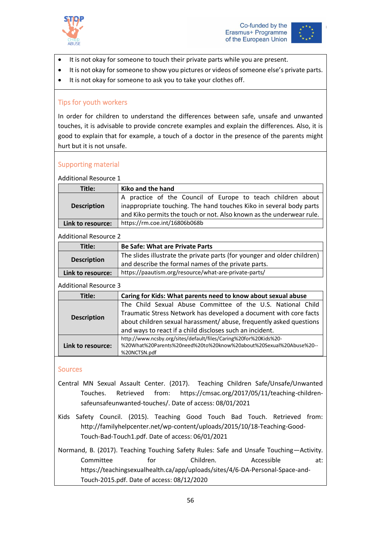



- It is not okay for someone to touch their private parts while you are present.
- It is not okay for someone to show you pictures or videos of someone else's private parts.
- It is not okay for someone to ask you to take your clothes off.

#### Tips for youth workers

In order for children to understand the differences between safe, unsafe and unwanted touches, it is advisable to provide concrete examples and explain the differences. Also, it is good to explain that for example, a touch of a doctor in the presence of the parents might hurt but it is not unsafe.

### Supporting material

Additional Resource 1

| Title:             | Kiko and the hand                                                    |
|--------------------|----------------------------------------------------------------------|
|                    | A practice of the Council of Europe to teach children about          |
| <b>Description</b> | inappropriate touching. The hand touches Kiko in several body parts  |
|                    | and Kiko permits the touch or not. Also known as the underwear rule. |
| Link to resource:  | https://rm.coe.int/16806b068b                                        |

Additional Resource 2

| Title:             | <b>Be Safe: What are Private Parts</b>                                                                                          |
|--------------------|---------------------------------------------------------------------------------------------------------------------------------|
| <b>Description</b> | The slides illustrate the private parts (for younger and older children)<br>and describe the formal names of the private parts. |
| Link to resource:  | https://paautism.org/resource/what-are-private-parts/                                                                           |

#### Additional Resource 3

| Title:             | Caring for Kids: What parents need to know about sexual abuse                                                                                                                                                                                                      |
|--------------------|--------------------------------------------------------------------------------------------------------------------------------------------------------------------------------------------------------------------------------------------------------------------|
| <b>Description</b> | The Child Sexual Abuse Committee of the U.S. National Child<br>Traumatic Stress Network has developed a document with core facts<br>about children sexual harassment/abuse, frequently asked questions<br>and ways to react if a child discloses such an incident. |
| Link to resource:  | http://www.ncsby.org/sites/default/files/Caring%20for%20Kids%20-<br>%20What%20Parents%20need%20to%20know%20about%20Sexual%20Abuse%20--<br>%20NCTSN.pdf                                                                                                             |

- Central MN Sexual Assault Center. (2017). Teaching Children Safe/Unsafe/Unwanted Touches. Retrieved from: https://cmsac.org/2017/05/11/teaching-childrensafeunsafeunwanted-touches/. Date of access: 08/01/2021
- Kids Safety Council. (2015). Teaching Good Touch Bad Touch. Retrieved from: http://familyhelpcenter.net/wp-content/uploads/2015/10/18-Teaching-Good-Touch-Bad-Touch1.pdf. Date of access: 06/01/2021
- Normand, B. (2017). Teaching Touching Safety Rules: Safe and Unsafe Touching—Activity. Committee for Children. Accessible at: https://teachingsexualhealth.ca/app/uploads/sites/4/6-DA-Personal-Space-and-Touch-2015.pdf. Date of access: 08/12/2020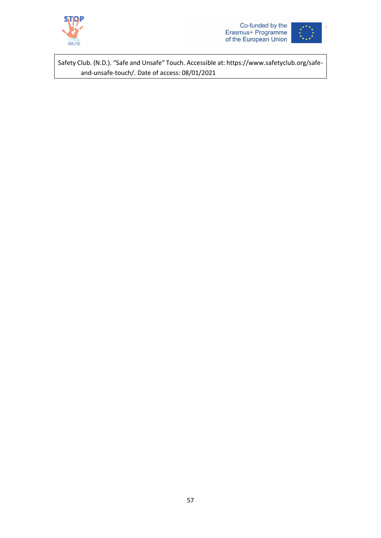



Safety Club. (N.D.). "Safe and Unsafe" Touch. Accessible at: https://www.safetyclub.org/safeand-unsafe-touch/. Date of access: 08/01/2021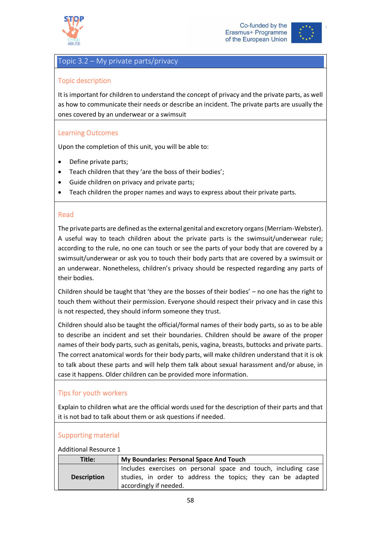



## Topic 3.2 – My private parts/privacy

### Topic description

It is important for children to understand the concept of privacy and the private parts, as well as how to communicate their needs or describe an incident. The private parts are usually the ones covered by an underwear or a swimsuit

### Learning Outcomes

Upon the completion of this unit, you will be able to:

- Define private parts;
- Teach children that they 'are the boss of their bodies';
- Guide children on privacy and private parts;
- Teach children the proper names and ways to express about their private parts.

#### Read

The private parts are defined as the external genital and excretory organs (Merriam-Webster). A useful way to teach children about the private parts is the swimsuit/underwear rule; according to the rule, no one can touch or see the parts of your body that are covered by a swimsuit/underwear or ask you to touch their body parts that are covered by a swimsuit or an underwear. Nonetheless, children's privacy should be respected regarding any parts of their bodies.

Children should be taught that 'they are the bosses of their bodies' – no one has the right to touch them without their permission. Everyone should respect their privacy and in case this is not respected, they should inform someone they trust.

Children should also be taught the official/formal names of their body parts, so as to be able to describe an incident and set their boundaries. Children should be aware of the proper names of their body parts, such as genitals, penis, vagina, breasts, buttocks and private parts. The correct anatomical words for their body parts, will make children understand that it is ok to talk about these parts and will help them talk about sexual harassment and/or abuse, in case it happens. Older children can be provided more information.

### Tips for youth workers

Explain to children what are the official words used for the description of their parts and that it is not bad to talk about them or ask questions if needed.

#### Supporting material

#### Additional Resource 1

| Title:             | My Boundaries: Personal Space And Touch                                                                                                                  |
|--------------------|----------------------------------------------------------------------------------------------------------------------------------------------------------|
| <b>Description</b> | Includes exercises on personal space and touch, including case<br>studies, in order to address the topics; they can be adapted<br>accordingly if needed. |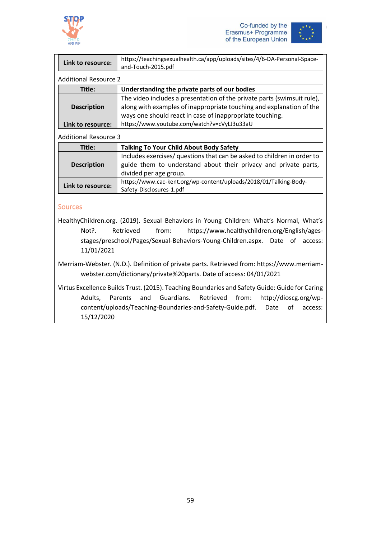



| Link to resource:            | https://teachingsexualhealth.ca/app/uploads/sites/4/6-DA-Personal-Space-<br>and-Touch-2015.pdf |  |
|------------------------------|------------------------------------------------------------------------------------------------|--|
| <b>Additional Resource 2</b> |                                                                                                |  |
| Title:                       | Understanding the private parts of our bodies                                                  |  |
|                              | The video includes a presentation of the private parts (swimsuit rule),                        |  |
| <b>Description</b>           | along with examples of inappropriate touching and explanation of the                           |  |
|                              | ways one should react in case of inappropriate touching.                                       |  |
| Link to resource:            | https://www.youtube.com/watch?v=cVyLJ3u33aU                                                    |  |
| <b>Additional Resource 3</b> |                                                                                                |  |
| Title:                       | <b>Talking To Your Child About Body Safety</b>                                                 |  |
|                              | Includes exercises/ questions that can be asked to children in order to                        |  |
| <b>Description</b>           | guide them to understand about their privacy and private parts,                                |  |
|                              | divided per age group.                                                                         |  |
| Link to resource:            | https://www.cac-kent.org/wp-content/uploads/2018/01/Talking-Body-                              |  |
|                              | Safety-Disclosures-1.pdf                                                                       |  |

#### Sources

HealthyChildren.org. (2019). Sexual Behaviors in Young Children: What's Normal, What's Not?. Retrieved from: https://www.healthychildren.org/English/agesstages/preschool/Pages/Sexual-Behaviors-Young-Children.aspx. Date of access: 11/01/2021

Merriam-Webster. (N.D.). Definition of private parts. Retrieved from: https://www.merriamwebster.com/dictionary/private%20parts. Date of access: 04/01/2021

Virtus Excellence Builds Trust. (2015). Teaching Boundaries and Safety Guide: Guide for Caring Adults, Parents and Guardians. Retrieved from: http://dioscg.org/wpcontent/uploads/Teaching-Boundaries-and-Safety-Guide.pdf. Date of access: 15/12/2020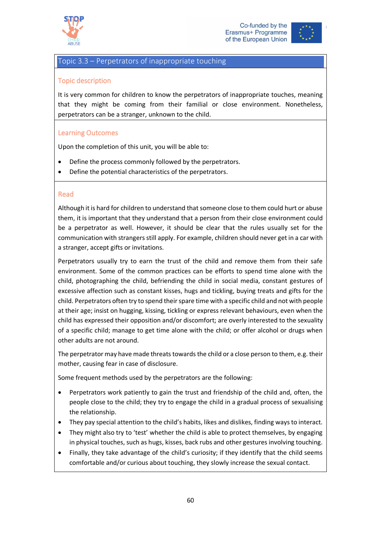



### Topic 3.3 – Perpetrators of inappropriate touching

### Topic description

It is very common for children to know the perpetrators of inappropriate touches, meaning that they might be coming from their familial or close environment. Nonetheless, perpetrators can be a stranger, unknown to the child.

### Learning Outcomes

Upon the completion of this unit, you will be able to:

- Define the process commonly followed by the perpetrators.
- Define the potential characteristics of the perpetrators.

#### Read

Although it is hard for children to understand that someone close to them could hurt or abuse them, it is important that they understand that a person from their close environment could be a perpetrator as well. However, it should be clear that the rules usually set for the communication with strangers still apply. For example, children should never get in a car with a stranger, accept gifts or invitations.

Perpetrators usually try to earn the trust of the child and remove them from their safe environment. Some of the common practices can be efforts to spend time alone with the child, photographing the child, befriending the child in social media, constant gestures of excessive affection such as constant kisses, hugs and tickling, buying treats and gifts for the child. Perpetrators often try to spend their spare time with a specific child and not with people at their age; insist on hugging, kissing, tickling or express relevant behaviours, even when the child has expressed their opposition and/or discomfort; are overly interested to the sexuality of a specific child; manage to get time alone with the child; or offer alcohol or drugs when other adults are not around.

The perpetrator may have made threats towards the child or a close person to them, e.g. their mother, causing fear in case of disclosure.

Some frequent methods used by the perpetrators are the following:

- Perpetrators work patiently to gain the trust and friendship of the child and, often, the people close to the child; they try to engage the child in a gradual process of sexualising the relationship.
- They pay special attention to the child's habits, likes and dislikes, finding ways to interact.
- They might also try to 'test' whether the child is able to protect themselves, by engaging in physical touches, such as hugs, kisses, back rubs and other gestures involving touching.
- Finally, they take advantage of the child's curiosity; if they identify that the child seems comfortable and/or curious about touching, they slowly increase the sexual contact.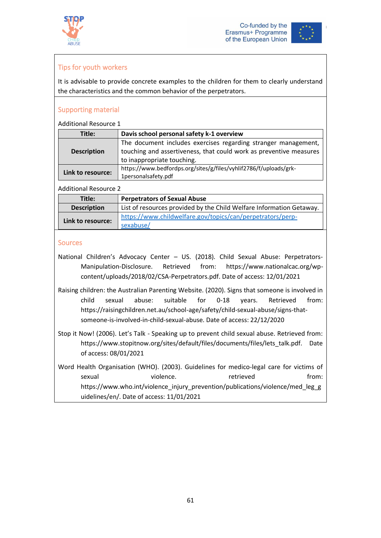



## Tips for youth workers

It is advisable to provide concrete examples to the children for them to clearly understand the characteristics and the common behavior of the perpetrators.

### Supporting material

Additional Resource 1

| Title:             | Davis school personal safety k-1 overview                          |
|--------------------|--------------------------------------------------------------------|
| <b>Description</b> | The document includes exercises regarding stranger management,     |
|                    | touching and assertiveness, that could work as preventive measures |
|                    | to inappropriate touching.                                         |
| Link to resource:  | https://www.bedfordps.org/sites/g/files/vyhlif2786/f/uploads/grk-  |
|                    | 1personalsafety.pdf                                                |

Additional Resource 2

| Title:             | <b>Perpetrators of Sexual Abuse</b>                                     |
|--------------------|-------------------------------------------------------------------------|
| <b>Description</b> | List of resources provided by the Child Welfare Information Getaway.    |
| Link to resource:  | https://www.childwelfare.gov/topics/can/perpetrators/perp-<br>sexabuse/ |

- National Children's Advocacy Center US. (2018). Child Sexual Abuse: Perpetrators-Manipulation-Disclosure. Retrieved from: https://www.nationalcac.org/wpcontent/uploads/2018/02/CSA-Perpetrators.pdf. Date of access: 12/01/2021
- Raising children: the Australian Parenting Website. (2020). Signs that someone is involved in child sexual abuse: suitable for 0-18 years. Retrieved from: https://raisingchildren.net.au/school-age/safety/child-sexual-abuse/signs-thatsomeone-is-involved-in-child-sexual-abuse. Date of access: 22/12/2020
- Stop it Now! (2006). Let's Talk Speaking up to prevent child sexual abuse. Retrieved from: https://www.stopitnow.org/sites/default/files/documents/files/lets\_talk.pdf. Date of access: 08/01/2021
- Word Health Organisation (WHO). (2003). Guidelines for medico-legal care for victims of sexual violence. where retrieved from: https://www.who.int/violence\_injury\_prevention/publications/violence/med\_leg\_g uidelines/en/. Date of access: 11/01/2021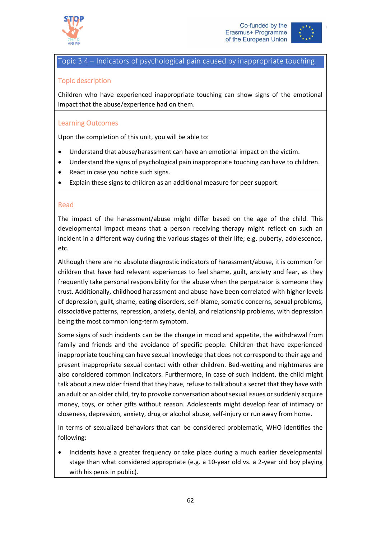



## Topic 3.4 – Indicators of psychological pain caused by inappropriate touching

### Topic description

Children who have experienced inappropriate touching can show signs of the emotional impact that the abuse/experience had on them.

#### Learning Outcomes

Upon the completion of this unit, you will be able to:

- Understand that abuse/harassment can have an emotional impact on the victim.
- Understand the signs of psychological pain inappropriate touching can have to children.
- React in case you notice such signs.
- Explain these signs to children as an additional measure for peer support.

#### Read

The impact of the harassment/abuse might differ based on the age of the child. This developmental impact means that a person receiving therapy might reflect on such an incident in a different way during the various stages of their life; e.g. puberty, adolescence, etc.

Although there are no absolute diagnostic indicators of harassment/abuse, it is common for children that have had relevant experiences to feel shame, guilt, anxiety and fear, as they frequently take personal responsibility for the abuse when the perpetrator is someone they trust. Additionally, childhood harassment and abuse have been correlated with higher levels of depression, guilt, shame, eating disorders, self-blame, somatic concerns, sexual problems, dissociative patterns, repression, anxiety, denial, and relationship problems, with depression being the most common long-term symptom.

Some signs of such incidents can be the change in mood and appetite, the withdrawal from family and friends and the avoidance of specific people. Children that have experienced inappropriate touching can have sexual knowledge that does not correspond to their age and present inappropriate sexual contact with other children. Bed-wetting and nightmares are also considered common indicators. Furthermore, in case of such incident, the child might talk about a new older friend that they have, refuse to talk about a secret that they have with an adult or an older child, try to provoke conversation about sexual issues or suddenly acquire money, toys, or other gifts without reason. Adolescents might develop fear of intimacy or closeness, depression, anxiety, drug or alcohol abuse, self-injury or run away from home.

In terms of sexualized behaviors that can be considered problematic, WHO identifies the following:

• Incidents have a greater frequency or take place during a much earlier developmental stage than what considered appropriate (e.g. a 10-year old vs. a 2-year old boy playing with his penis in public).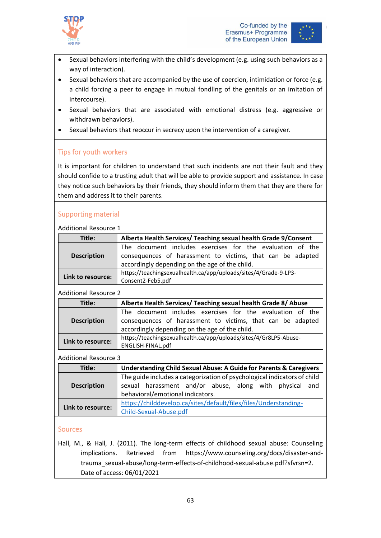



- Sexual behaviors interfering with the child's development (e.g. using such behaviors as a way of interaction).
- Sexual behaviors that are accompanied by the use of coercion, intimidation or force (e.g. a child forcing a peer to engage in mutual fondling of the genitals or an imitation of intercourse).
- Sexual behaviors that are associated with emotional distress (e.g. aggressive or withdrawn behaviors).
- Sexual behaviors that reoccur in secrecy upon the intervention of a caregiver.

### Tips for youth workers

It is important for children to understand that such incidents are not their fault and they should confide to a trusting adult that will be able to provide support and assistance. In case they notice such behaviors by their friends, they should inform them that they are there for them and address it to their parents.

### Supporting material

#### Additional Resource 1

| Title:             | Alberta Health Services/ Teaching sexual health Grade 9/Consent  |
|--------------------|------------------------------------------------------------------|
| <b>Description</b> | The document includes exercises for the evaluation of the        |
|                    | consequences of harassment to victims, that can be adapted       |
|                    | accordingly depending on the age of the child.                   |
| Link to resource:  | https://teachingsexualhealth.ca/app/uploads/sites/4/Grade-9-LP3- |
|                    | Consent2-Feb5.pdf                                                |

#### Additional Resource 2

| Title:             | Alberta Health Services/ Teaching sexual health Grade 8/ Abuse                                                                                                            |
|--------------------|---------------------------------------------------------------------------------------------------------------------------------------------------------------------------|
| <b>Description</b> | The document includes exercises for the evaluation of the<br>consequences of harassment to victims, that can be adapted<br>accordingly depending on the age of the child. |
| Link to resource:  | https://teachingsexualhealth.ca/app/uploads/sites/4/Gr8LP5-Abuse-<br>ENGLISH-FINAL.pdf                                                                                    |

#### Additional Resource 3

| Title:             | <b>Understanding Child Sexual Abuse: A Guide for Parents &amp; Caregivers</b>                                                                                              |
|--------------------|----------------------------------------------------------------------------------------------------------------------------------------------------------------------------|
| <b>Description</b> | The guide includes a categorization of psychological indicators of child<br>sexual harassment and/or abuse, along with physical<br>and<br>behavioral/emotional indicators. |
| Link to resource:  | https://childdevelop.ca/sites/default/files/files/Understanding-<br>Child-Sexual-Abuse.pdf                                                                                 |

#### **Sources**

Hall, M., & Hall, J. (2011). The long-term effects of childhood sexual abuse: Counseling implications. Retrieved from https://www.counseling.org/docs/disaster-andtrauma\_sexual-abuse/long-term-effects-of-childhood-sexual-abuse.pdf?sfvrsn=2. Date of access: 06/01/2021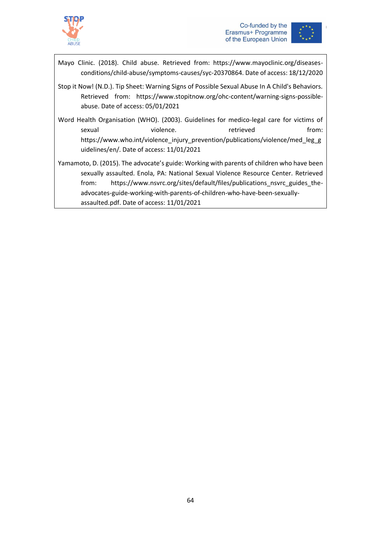



Mayo Clinic. (2018). Child abuse. Retrieved from: https://www.mayoclinic.org/diseasesconditions/child-abuse/symptoms-causes/syc-20370864. Date of access: 18/12/2020 Stop it Now! (N.D.). Tip Sheet: Warning Signs of Possible Sexual Abuse In A Child's Behaviors. Retrieved from: https://www.stopitnow.org/ohc-content/warning-signs-possibleabuse. Date of access: 05/01/2021 Word Health Organisation (WHO). (2003). Guidelines for medico-legal care for victims of sexual violence. The retrieved from: https://www.who.int/violence\_injury\_prevention/publications/violence/med\_leg\_g uidelines/en/. Date of access: 11/01/2021 Yamamoto, D. (2015). The advocate's guide: Working with parents of children who have been sexually assaulted. Enola, PA: National Sexual Violence Resource Center. Retrieved from: https://www.nsvrc.org/sites/default/files/publications\_nsvrc\_guides\_theadvocates-guide-working-with-parents-of-children-who-have-been-sexually-

assaulted.pdf. Date of access: 11/01/2021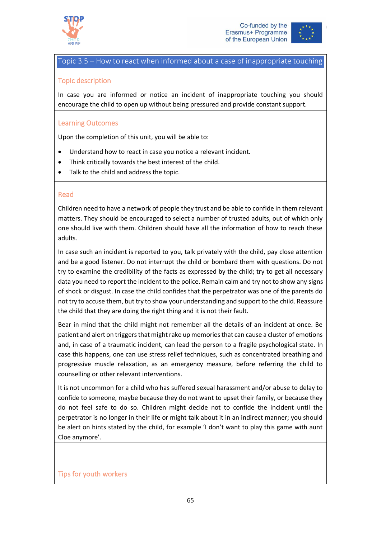



### Topic 3.5 – How to react when informed about a case of inappropriate touching

### Topic description

In case you are informed or notice an incident of inappropriate touching you should encourage the child to open up without being pressured and provide constant support.

#### Learning Outcomes

Upon the completion of this unit, you will be able to:

- Understand how to react in case you notice a relevant incident.
- Think critically towards the best interest of the child.
- Talk to the child and address the topic.

#### Read

Children need to have a network of people they trust and be able to confide in them relevant matters. They should be encouraged to select a number of trusted adults, out of which only one should live with them. Children should have all the information of how to reach these adults.

In case such an incident is reported to you, talk privately with the child, pay close attention and be a good listener. Do not interrupt the child or bombard them with questions. Do not try to examine the credibility of the facts as expressed by the child; try to get all necessary data you need to report the incident to the police. Remain calm and try not to show any signs of shock or disgust. In case the child confides that the perpetrator was one of the parents do not try to accuse them, but try to show your understanding and support to the child. Reassure the child that they are doing the right thing and it is not their fault.

Bear in mind that the child might not remember all the details of an incident at once. Be patient and alert on triggers that might rake up memories that can cause a cluster of emotions and, in case of a traumatic incident, can lead the person to a fragile psychological state. In case this happens, one can use stress relief techniques, such as concentrated breathing and progressive muscle relaxation, as an emergency measure, before referring the child to counselling or other relevant interventions.

It is not uncommon for a child who has suffered sexual harassment and/or abuse to delay to confide to someone, maybe because they do not want to upset their family, or because they do not feel safe to do so. Children might decide not to confide the incident until the perpetrator is no longer in their life or might talk about it in an indirect manner; you should be alert on hints stated by the child, for example 'I don't want to play this game with aunt Cloe anymore'.

Tips for youth workers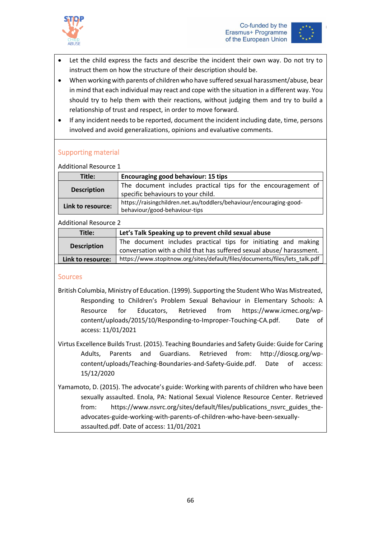



- Let the child express the facts and describe the incident their own way. Do not try to instruct them on how the structure of their description should be.
- When working with parents of children who have suffered sexual harassment/abuse, bear in mind that each individual may react and cope with the situation in a different way. You should try to help them with their reactions, without judging them and try to build a relationship of trust and respect, in order to move forward.
- If any incident needs to be reported, document the incident including date, time, persons involved and avoid generalizations, opinions and evaluative comments.

### Supporting material

Additional Resource 1

| Title:             | Encouraging good behaviour: 15 tips                                                                  |
|--------------------|------------------------------------------------------------------------------------------------------|
| <b>Description</b> | The document includes practical tips for the encouragement of<br>specific behaviours to your child.  |
| Link to resource:  | https://raisingchildren.net.au/toddlers/behaviour/encouraging-good-<br>behaviour/good-behaviour-tips |

Additional Resource 2

| Title:             | Let's Talk Speaking up to prevent child sexual abuse                                                                                    |
|--------------------|-----------------------------------------------------------------------------------------------------------------------------------------|
| <b>Description</b> | The document includes practical tips for initiating and making<br>conversation with a child that has suffered sexual abuse/ harassment. |
| Link to resource:  | https://www.stopitnow.org/sites/default/files/documents/files/lets_talk.pdf                                                             |

- British Columbia, Ministry of Education. (1999). Supporting the Student Who Was Mistreated, Responding to Children's Problem Sexual Behaviour in Elementary Schools: A Resource for Educators, Retrieved from https://www.icmec.org/wpcontent/uploads/2015/10/Responding-to-Improper-Touching-CA.pdf. Date of access: 11/01/2021
- Virtus Excellence Builds Trust. (2015). Teaching Boundaries and Safety Guide: Guide for Caring Adults, Parents and Guardians. Retrieved from: http://dioscg.org/wpcontent/uploads/Teaching-Boundaries-and-Safety-Guide.pdf. Date of access: 15/12/2020
- Yamamoto, D. (2015). The advocate's guide: Working with parents of children who have been sexually assaulted. Enola, PA: National Sexual Violence Resource Center. Retrieved from: https://www.nsvrc.org/sites/default/files/publications nsvrc\_guides\_theadvocates-guide-working-with-parents-of-children-who-have-been-sexuallyassaulted.pdf. Date of access: 11/01/2021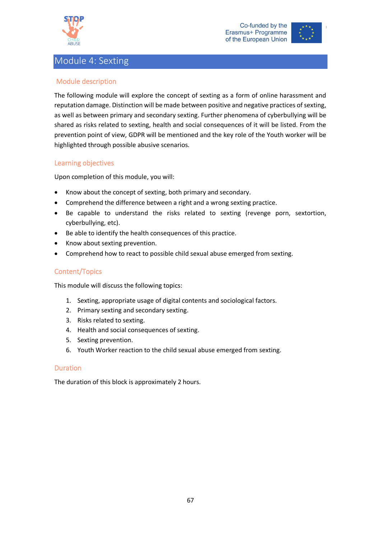



# Module 4: Sexting

### Module description

The following module will explore the concept of sexting as a form of online harassment and reputation damage. Distinction will be made between positive and negative practices of sexting, as well as between primary and secondary sexting. Further phenomena of cyberbullying will be shared as risks related to sexting, health and social consequences of it will be listed. From the prevention point of view, GDPR will be mentioned and the key role of the Youth worker will be highlighted through possible abusive scenarios.

### Learning objectives

Upon completion of this module, you will:

- Know about the concept of sexting, both primary and secondary.
- Comprehend the difference between a right and a wrong sexting practice.
- Be capable to understand the risks related to sexting (revenge porn, sextortion, cyberbullying, etc).
- Be able to identify the health consequences of this practice.
- Know about sexting prevention.
- Comprehend how to react to possible child sexual abuse emerged from sexting.

#### Content/Topics

This module will discuss the following topics:

- 1. Sexting, appropriate usage of digital contents and sociological factors.
- 2. Primary sexting and secondary sexting.
- 3. Risks related to sexting.
- 4. Health and social consequences of sexting.
- 5. Sexting prevention.
- 6. Youth Worker reaction to the child sexual abuse emerged from sexting.

#### Duration

The duration of this block is approximately 2 hours.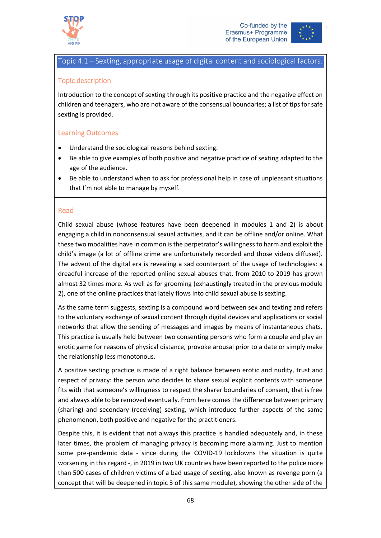



## Topic 4.1 – Sexting, appropriate usage of digital content and sociological factors.

## Topic description

Introduction to the concept of sexting through its positive practice and the negative effect on children and teenagers, who are not aware of the consensual boundaries; a list of tips for safe sexting is provided.

### Learning Outcomes

- Understand the sociological reasons behind sexting.
- Be able to give examples of both positive and negative practice of sexting adapted to the age of the audience.
- Be able to understand when to ask for professional help in case of unpleasant situations that I'm not able to manage by myself.

#### Read

Child sexual abuse (whose features have been deepened in modules 1 and 2) is about engaging a child in nonconsensual sexual activities, and it can be offline and/or online. What these two modalities have in common is the perpetrator's willingness to harm and exploit the child's image (a lot of offline crime are unfortunately recorded and those videos diffused). The advent of the digital era is revealing a sad counterpart of the usage of technologies: a dreadful increase of the reported online sexual abuses that, from 2010 to 2019 has grown almost 32 times more. As well as for grooming (exhaustingly treated in the previous module 2), one of the online practices that lately flows into child sexual abuse is sexting.

As the same term suggests, sexting is a compound word between sex and texting and refers to the voluntary exchange of sexual content through digital devices and applications or social networks that allow the sending of messages and images by means of instantaneous chats. This practice is usually held between two consenting persons who form a couple and play an erotic game for reasons of physical distance, provoke arousal prior to a date or simply make the relationship less monotonous.

A positive sexting practice is made of a right balance between erotic and nudity, trust and respect of privacy: the person who decides to share sexual explicit contents with someone fits with that someone's willingness to respect the sharer boundaries of consent, that is free and always able to be removed eventually. From here comes the difference between primary (sharing) and secondary (receiving) sexting, which introduce further aspects of the same phenomenon, both positive and negative for the practitioners.

Despite this, it is evident that not always this practice is handled adequately and, in these later times, the problem of managing privacy is becoming more alarming. Just to mention some pre-pandemic data - since during the COVID-19 lockdowns the situation is quite worsening in this regard -, in 2019 in two UK countries have been reported to the police more than 500 cases of children victims of a bad usage of sexting, also known as revenge porn (a concept that will be deepened in topic 3 of this same module), showing the other side of the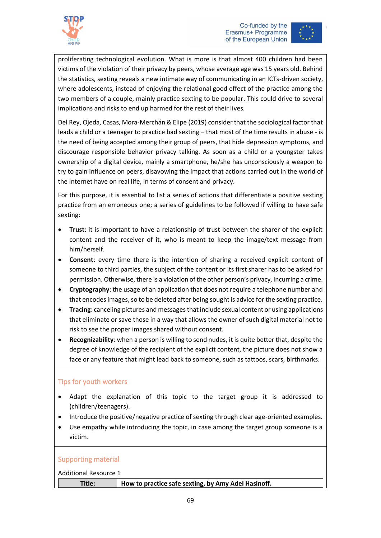



proliferating technological evolution. What is more is that almost 400 children had been victims of the violation of their privacy by peers, whose average age was 15 years old. Behind the statistics, sexting reveals a new intimate way of communicating in an ICTs-driven society, where adolescents, instead of enjoying the relational good effect of the practice among the two members of a couple, mainly practice sexting to be popular. This could drive to several implications and risks to end up harmed for the rest of their lives.

Del Rey, Ojeda, Casas, Mora-Merchán & Elipe (2019) consider that the sociological factor that leads a child or a teenager to practice bad sexting – that most of the time results in abuse - is the need of being accepted among their group of peers, that hide depression symptoms, and discourage responsible behavior privacy talking. As soon as a child or a youngster takes ownership of a digital device, mainly a smartphone, he/she has unconsciously a weapon to try to gain influence on peers, disavowing the impact that actions carried out in the world of the Internet have on real life, in terms of consent and privacy.

For this purpose, it is essential to list a series of actions that differentiate a positive sexting practice from an erroneous one; a series of guidelines to be followed if willing to have safe sexting:

- **Trust**: it is important to have a relationship of trust between the sharer of the explicit content and the receiver of it, who is meant to keep the image/text message from him/herself.
- **Consent**: every time there is the intention of sharing a received explicit content of someone to third parties, the subject of the content or its first sharer has to be asked for permission. Otherwise, there is a violation of the other person's privacy, incurring a crime.
- **Cryptography**: the usage of an application that does not require a telephone number and that encodes images, so to be deleted after being sought is advice for the sexting practice.
- **Tracing**: canceling pictures and messages that include sexual content or using applications that eliminate or save those in a way that allows the owner of such digital material not to risk to see the proper images shared without consent.
- **Recognizability**: when a person is willing to send nudes, it is quite better that, despite the degree of knowledge of the recipient of the explicit content, the picture does not show a face or any feature that might lead back to someone, such as tattoos, scars, birthmarks.

### Tips for youth workers

- Adapt the explanation of this topic to the target group it is addressed to (children/teenagers).
- Introduce the positive/negative practice of sexting through clear age-oriented examples.
- Use empathy while introducing the topic, in case among the target group someone is a victim.

### Supporting material

Additional Resource 1

**Title: How to practice safe sexting, by Amy Adel Hasinoff.**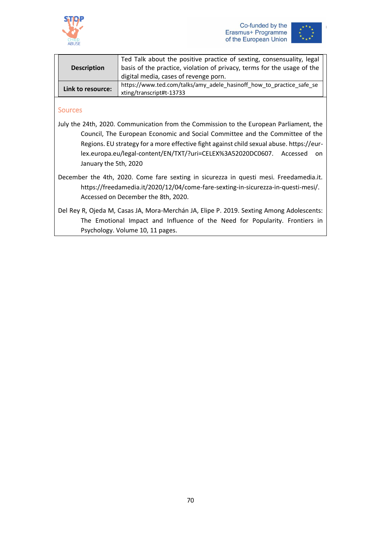



| <b>Description</b> | Ted Talk about the positive practice of sexting, consensuality, legal<br>basis of the practice, violation of privacy, terms for the usage of the<br>digital media, cases of revenge porn. |
|--------------------|-------------------------------------------------------------------------------------------------------------------------------------------------------------------------------------------|
| Link to resource:  | https://www.ted.com/talks/amy_adele_hasinoff_how_to_practice_safe_se<br>xting/transcript#t-13733                                                                                          |

- July the 24th, 2020. Communication from the Commission to the European Parliament, the Council, The European Economic and Social Committee and the Committee of the Regions. EU strategy for a more effective fight against child sexual abuse. https://eurlex.europa.eu/legal-content/EN/TXT/?uri=CELEX%3A52020DC0607. Accessed on January the 5th, 2020
- December the 4th, 2020. Come fare sexting in sicurezza in questi mesi. Freedamedia.it. https://freedamedia.it/2020/12/04/come-fare-sexting-in-sicurezza-in-questi-mesi/. Accessed on December the 8th, 2020.
- Del Rey R, Ojeda M, Casas JA, Mora-Merchán JA, Elipe P. 2019. Sexting Among Adolescents: The Emotional Impact and Influence of the Need for Popularity. Frontiers in Psychology. Volume 10, 11 pages.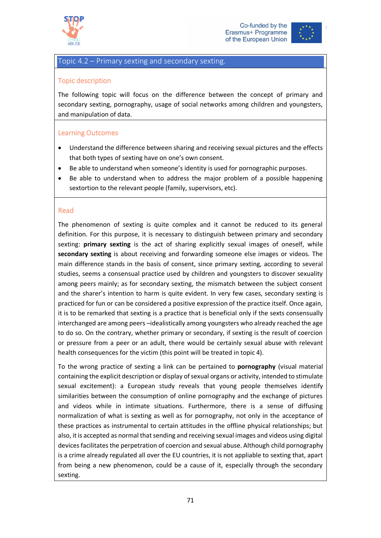



### Topic 4.2 – Primary sexting and secondary sexting.

### Topic description

The following topic will focus on the difference between the concept of primary and secondary sexting, pornography, usage of social networks among children and youngsters, and manipulation of data.

### Learning Outcomes

- Understand the difference between sharing and receiving sexual pictures and the effects that both types of sexting have on one's own consent.
- Be able to understand when someone's identity is used for pornographic purposes.
- Be able to understand when to address the major problem of a possible happening sextortion to the relevant people (family, supervisors, etc).

#### Read

The phenomenon of sexting is quite complex and it cannot be reduced to its general definition. For this purpose, it is necessary to distinguish between primary and secondary sexting: **primary sexting** is the act of sharing explicitly sexual images of oneself, while **secondary sexting** is about receiving and forwarding someone else images or videos. The main difference stands in the basis of consent, since primary sexting, according to several studies, seems a consensual practice used by children and youngsters to discover sexuality among peers mainly; as for secondary sexting, the mismatch between the subject consent and the sharer's intention to harm is quite evident. In very few cases, secondary sexting is practiced for fun or can be considered a positive expression of the practice itself. Once again, it is to be remarked that sexting is a practice that is beneficial only if the sexts consensually interchanged are among peers –idealistically among youngsters who already reached the age to do so. On the contrary, whether primary or secondary, if sexting is the result of coercion or pressure from a peer or an adult, there would be certainly sexual abuse with relevant health consequences for the victim (this point will be treated in topic 4).

To the wrong practice of sexting a link can be pertained to **pornography** (visual material containing the explicit description or display of sexual organs or activity, intended to stimulate sexual excitement): a European study reveals that young people themselves identify similarities between the consumption of online pornography and the exchange of pictures and videos while in intimate situations. Furthermore, there is a sense of diffusing normalization of what is sexting as well as for pornography, not only in the acceptance of these practices as instrumental to certain attitudes in the offline physical relationships; but also, it is accepted as normal that sending and receiving sexual images and videos using digital devices facilitates the perpetration of coercion and sexual abuse. Although child pornography is a crime already regulated all over the EU countries, it is not appliable to sexting that, apart from being a new phenomenon, could be a cause of it, especially through the secondary sexting.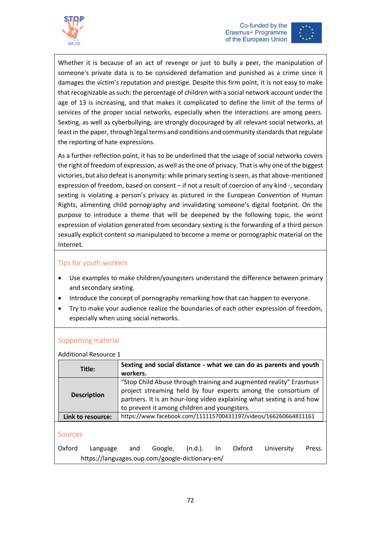



Whether it is because of an act of revenge or just to bully a peer, the manipulation of someone's private data is to be considered defamation and punished as a crime since it damages the victim's reputation and prestige. Despite this firm point, it is not easy to make that recognizable as such: the percentage of children with a social network account under the age of 13 is increasing, and that makes it complicated to define the limit of the terms of services of the proper social networks, especially when the interactions are among peers. Sexting, as well as cyberbullying, are strongly discouraged by all relevant social networks, at least in the paper, through legal terms and conditions and community standards that regulate the reporting of hate expressions.

As a further reflection point, it has to be underlined that the usage of social networks covers the right of freedom of expression, as well as the one of privacy. That is why one of the biggest victories, but also defeat is anonymity: while primary sexting is seen, as that above-mentioned expression of freedom, based on consent – if not a result of coercion of any kind -, secondary sexting is violating a person's privacy as pictured in the European Convention of Human Rights, alimenting child pornography and invalidating someone's digital footprint. On the purpose to introduce a theme that will be deepened by the following topic, the worst expression of violation generated from secondary sexting is the forwarding of a third person sexually explicit content so manipulated to become a meme or pornographic material on the Internet.

#### Tips for youth workers

- Use examples to make children/youngsters understand the difference between primary and secondary sexting.
- Introduce the concept of pornography remarking how that can happen to everyone.
- Try to make your audience realize the boundaries of each other expression of freedom, especially when using social networks.

| <b>JUPPOLITIA ITIGULIUI</b>                     |                                                                                                                                                                                                                                                               |         |         |       |        |                                                                 |        |
|-------------------------------------------------|---------------------------------------------------------------------------------------------------------------------------------------------------------------------------------------------------------------------------------------------------------------|---------|---------|-------|--------|-----------------------------------------------------------------|--------|
| Additional Resource 1                           |                                                                                                                                                                                                                                                               |         |         |       |        |                                                                 |        |
| Title:                                          | Sexting and social distance - what we can do as parents and youth<br>workers.                                                                                                                                                                                 |         |         |       |        |                                                                 |        |
| <b>Description</b>                              | "Stop Child Abuse through training and augmented reality" Erasmus+<br>project streaming held by four experts among the consortium of<br>partners. It is an hour-long video explaining what sexting is and how<br>to prevent it among children and youngsters. |         |         |       |        |                                                                 |        |
| Link to resource:                               |                                                                                                                                                                                                                                                               |         |         |       |        | https://www.facebook.com/111115700431197/videos/166260664811161 |        |
| <b>Sources</b><br>Oxford<br>Language            | and                                                                                                                                                                                                                                                           | Google. | (n.d.). | In In | Oxford | University                                                      | Press. |
|                                                 |                                                                                                                                                                                                                                                               |         |         |       |        |                                                                 |        |
| https://languages.oup.com/google-dictionary-en/ |                                                                                                                                                                                                                                                               |         |         |       |        |                                                                 |        |

#### Supporting material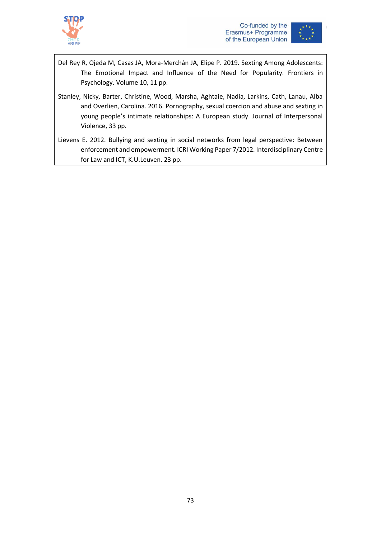



- Del Rey R, Ojeda M, Casas JA, Mora-Merchán JA, Elipe P. 2019. Sexting Among Adolescents: The Emotional Impact and Influence of the Need for Popularity. Frontiers in Psychology. Volume 10, 11 pp.
- Stanley, Nicky, Barter, Christine, Wood, Marsha, Aghtaie, Nadia, Larkins, Cath, Lanau, Alba and Overlien, Carolina. 2016. Pornography, sexual coercion and abuse and sexting in young people's intimate relationships: A European study. Journal of Interpersonal Violence, 33 pp.
- Lievens E. 2012. Bullying and sexting in social networks from legal perspective: Between enforcement and empowerment. ICRI Working Paper 7/2012. Interdisciplinary Centre for Law and ICT, K.U.Leuven. 23 pp.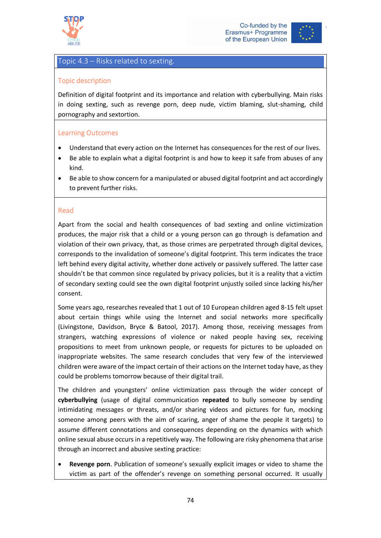



# Topic 4.3 – Risks related to sexting.

## Topic description

Definition of digital footprint and its importance and relation with cyberbullying. Main risks in doing sexting, such as revenge porn, deep nude, victim blaming, slut-shaming, child pornography and sextortion.

## Learning Outcomes

- Understand that every action on the Internet has consequences for the rest of our lives.
- Be able to explain what a digital footprint is and how to keep it safe from abuses of any kind.
- Be able to show concern for a manipulated or abused digital footprint and act accordingly to prevent further risks.

#### Read

Apart from the social and health consequences of bad sexting and online victimization produces, the major risk that a child or a young person can go through is defamation and violation of their own privacy, that, as those crimes are perpetrated through digital devices, corresponds to the invalidation of someone's digital footprint. This term indicates the trace left behind every digital activity, whether done actively or passively suffered. The latter case shouldn't be that common since regulated by privacy policies, but it is a reality that a victim of secondary sexting could see the own digital footprint unjustly soiled since lacking his/her consent.

Some years ago, researches revealed that 1 out of 10 European children aged 8-15 felt upset about certain things while using the Internet and social networks more specifically (Livingstone, Davidson, Bryce & Batool, 2017). Among those, receiving messages from strangers, watching expressions of violence or naked people having sex, receiving propositions to meet from unknown people, or requests for pictures to be uploaded on inappropriate websites. The same research concludes that very few of the interviewed children were aware of the impact certain of their actions on the Internet today have, as they could be problems tomorrow because of their digital trail.

The children and youngsters' online victimization pass through the wider concept of **cyberbullying** (usage of digital communication **repeated** to bully someone by sending intimidating messages or threats, and/or sharing videos and pictures for fun, mocking someone among peers with the aim of scaring, anger of shame the people it targets) to assume different connotations and consequences depending on the dynamics with which online sexual abuse occurs in a repetitively way. The following are risky phenomena that arise through an incorrect and abusive sexting practice:

• **Revenge porn**. Publication of someone's sexually explicit images or video to shame the victim as part of the offender's revenge on something personal occurred. It usually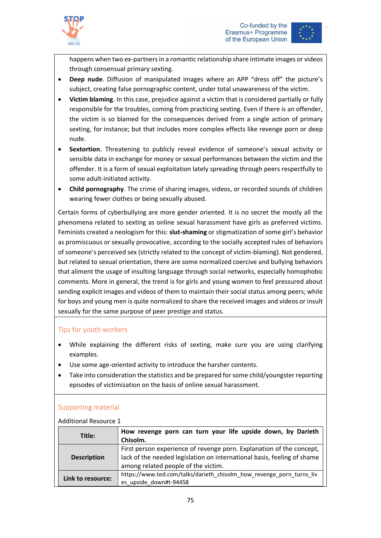



happens when two ex-partners in a romantic relationship share intimate images or videos through consensual primary sexting.

- **Deep nude**. Diffusion of manipulated images where an APP "dress off" the picture's subject, creating false pornographic content, under total unawareness of the victim.
- **Victim blaming**. In this case, prejudice against a victim that is considered partially or fully responsible for the troubles, coming from practicing sexting. Even if there is an offender, the victim is so blamed for the consequences derived from a single action of primary sexting, for instance; but that includes more complex effects like revenge porn or deep nude.
- **Sextortion**. Threatening to publicly reveal evidence of someone's sexual activity or sensible data in exchange for money or sexual performances between the victim and the offender. It is a form of sexual exploitation lately spreading through peers respectfully to some adult-initiated activity.
- **Child pornography**. The crime of sharing images, videos, or recorded sounds of children wearing fewer clothes or being sexually abused.

Certain forms of cyberbullying are more gender oriented. It is no secret the mostly all the phenomena related to sexting as online sexual harassment have girls as preferred victims. Feminists created a neologism for this: **slut-shaming** or stigmatization of some girl's behavior as promiscuous or sexually provocative, according to the socially accepted rules of behaviors of someone's perceived sex (strictly related to the concept of victim-blaming). Not gendered, but related to sexual orientation, there are some normalized coercive and bullying behaviors that aliment the usage of insulting language through social networks, especially homophobic comments. More in general, the trend is for girls and young women to feel pressured about sending explicit images and videos of them to maintain their social status among peers; while for boys and young men is quite normalized to share the received images and videos or insult sexually for the same purpose of peer prestige and status.

#### Tips for youth workers

- While explaining the different risks of sexting, make sure you are using clarifying examples.
- Use some age-oriented activity to introduce the harsher contents.
- Take into consideration the statistics and be prepared for some child/youngster reporting episodes of victimization on the basis of online sexual harassment.

# Supporting material

Additional Resource 1

| Title:             | How revenge porn can turn your life upside down, by Darieth<br>Chisolm.                                                                                                                |
|--------------------|----------------------------------------------------------------------------------------------------------------------------------------------------------------------------------------|
| <b>Description</b> | First person experience of revenge porn. Explanation of the concept,<br>lack of the needed legislation on international basis, feeling of shame<br>among related people of the victim. |
| Link to resource:  | https://www.ted.com/talks/darieth_chisolm_how_revenge_porn_turns_liv<br>es upside down#t-94458                                                                                         |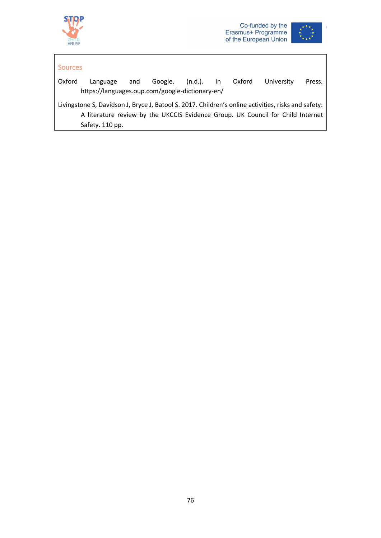





#### Sources

Oxford Language and Google. (n.d.). In Oxford University Press. https://languages.oup.com/google-dictionary-en/

Livingstone S, Davidson J, Bryce J, Batool S. 2017. Children's online activities, risks and safety: A literature review by the UKCCIS Evidence Group. UK Council for Child Internet Safety. 110 pp.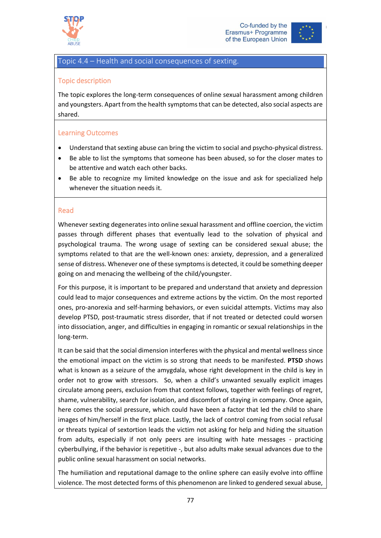



# Topic 4.4 – Health and social consequences of sexting.

# Topic description

The topic explores the long-term consequences of online sexual harassment among children and youngsters. Apart from the health symptoms that can be detected, also social aspects are shared.

# Learning Outcomes

- Understand that sexting abuse can bring the victim to social and psycho-physical distress.
- Be able to list the symptoms that someone has been abused, so for the closer mates to be attentive and watch each other backs.
- Be able to recognize my limited knowledge on the issue and ask for specialized help whenever the situation needs it.

#### Read

Whenever sexting degenerates into online sexual harassment and offline coercion, the victim passes through different phases that eventually lead to the solvation of physical and psychological trauma. The wrong usage of sexting can be considered sexual abuse; the symptoms related to that are the well-known ones: anxiety, depression, and a generalized sense of distress. Whenever one of these symptoms is detected, it could be something deeper going on and menacing the wellbeing of the child/youngster.

For this purpose, it is important to be prepared and understand that anxiety and depression could lead to major consequences and extreme actions by the victim. On the most reported ones, pro-anorexia and self-harming behaviors, or even suicidal attempts. Victims may also develop PTSD, post-traumatic stress disorder, that if not treated or detected could worsen into dissociation, anger, and difficulties in engaging in romantic or sexual relationships in the long-term.

It can be said that the social dimension interferes with the physical and mental wellness since the emotional impact on the victim is so strong that needs to be manifested. **PTSD** shows what is known as a seizure of the amygdala, whose right development in the child is key in order not to grow with stressors. So, when a child's unwanted sexually explicit images circulate among peers, exclusion from that context follows, together with feelings of regret, shame, vulnerability, search for isolation, and discomfort of staying in company. Once again, here comes the social pressure, which could have been a factor that led the child to share images of him/herself in the first place. Lastly, the lack of control coming from social refusal or threats typical of sextortion leads the victim not asking for help and hiding the situation from adults, especially if not only peers are insulting with hate messages - practicing cyberbullying, if the behavior is repetitive -, but also adults make sexual advances due to the public online sexual harassment on social networks.

The humiliation and reputational damage to the online sphere can easily evolve into offline violence. The most detected forms of this phenomenon are linked to gendered sexual abuse,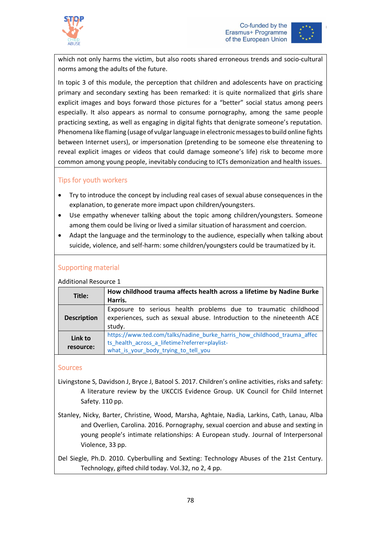



which not only harms the victim, but also roots shared erroneous trends and socio-cultural norms among the adults of the future.

In topic 3 of this module, the perception that children and adolescents have on practicing primary and secondary sexting has been remarked: it is quite normalized that girls share explicit images and boys forward those pictures for a "better" social status among peers especially. It also appears as normal to consume pornography, among the same people practicing sexting, as well as engaging in digital fights that denigrate someone's reputation. Phenomena like flaming (usage of vulgar language in electronic messages to build online fights between Internet users), or impersonation (pretending to be someone else threatening to reveal explicit images or videos that could damage someone's life) risk to become more common among young people, inevitably conducing to ICTs demonization and health issues.

#### Tips for youth workers

- Try to introduce the concept by including real cases of sexual abuse consequences in the explanation, to generate more impact upon children/youngsters.
- Use empathy whenever talking about the topic among children/youngsters. Someone among them could be living or lived a similar situation of harassment and coercion.
- Adapt the language and the terminology to the audience, especially when talking about suicide, violence, and self-harm: some children/youngsters could be traumatized by it.

#### Supporting material

Additional Resource 1

| Title:               | How childhood trauma affects health across a lifetime by Nadine Burke<br>Harris.                                                                                   |
|----------------------|--------------------------------------------------------------------------------------------------------------------------------------------------------------------|
| <b>Description</b>   | Exposure to serious health problems due to traumatic childhood<br>experiences, such as sexual abuse. Introduction to the nineteenth ACE<br>study.                  |
| Link to<br>resource: | https://www.ted.com/talks/nadine burke harris how childhood trauma affec<br>ts health across a lifetime?referrer=playlist-<br>what is your body trying to tell you |

#### **Sources**

- Livingstone S, Davidson J, Bryce J, Batool S. 2017. Children's online activities, risks and safety: A literature review by the UKCCIS Evidence Group. UK Council for Child Internet Safety. 110 pp.
- Stanley, Nicky, Barter, Christine, Wood, Marsha, Aghtaie, Nadia, Larkins, Cath, Lanau, Alba and Overlien, Carolina. 2016. Pornography, sexual coercion and abuse and sexting in young people's intimate relationships: A European study. Journal of Interpersonal Violence, 33 pp.
- Del Siegle, Ph.D. 2010. Cyberbulling and Sexting: Technology Abuses of the 21st Century. Technology, gifted child today. Vol.32, no 2, 4 pp.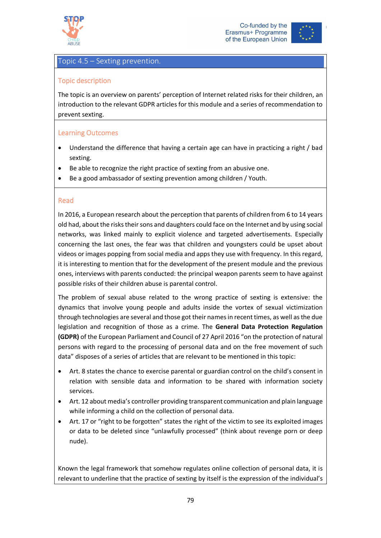



# Topic 4.5 – Sexting prevention.

## Topic description

The topic is an overview on parents' perception of Internet related risks for their children, an introduction to the relevant GDPR articles for this module and a series of recommendation to prevent sexting.

# Learning Outcomes

- Understand the difference that having a certain age can have in practicing a right / bad sexting.
- Be able to recognize the right practice of sexting from an abusive one.
- Be a good ambassador of sexting prevention among children / Youth.

#### Read

In 2016, a European research about the perception that parents of children from 6 to 14 years old had, about the risks their sons and daughters could face on the Internet and by using social networks, was linked mainly to explicit violence and targeted advertisements. Especially concerning the last ones, the fear was that children and youngsters could be upset about videos or images popping from social media and apps they use with frequency. In this regard, it is interesting to mention that for the development of the present module and the previous ones, interviews with parents conducted: the principal weapon parents seem to have against possible risks of their children abuse is parental control.

The problem of sexual abuse related to the wrong practice of sexting is extensive: the dynamics that involve young people and adults inside the vortex of sexual victimization through technologies are several and those got their names in recent times, as well as the due legislation and recognition of those as a crime. The **General Data Protection Regulation (GDPR)** of the European Parliament and Council of 27 April 2016 "on the protection of natural persons with regard to the processing of personal data and on the free movement of such data" disposes of a series of articles that are relevant to be mentioned in this topic:

- Art. 8 states the chance to exercise parental or guardian control on the child's consent in relation with sensible data and information to be shared with information society services.
- Art. 12 about media's controller providing transparent communication and plain language while informing a child on the collection of personal data.
- Art. 17 or "right to be forgotten" states the right of the victim to see its exploited images or data to be deleted since "unlawfully processed" (think about revenge porn or deep nude).

Known the legal framework that somehow regulates online collection of personal data, it is relevant to underline that the practice of sexting by itself is the expression of the individual's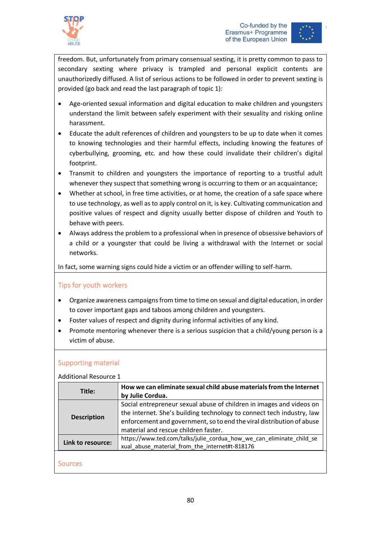



freedom. But, unfortunately from primary consensual sexting, it is pretty common to pass to secondary sexting where privacy is trampled and personal explicit contents are unauthorizedly diffused. A list of serious actions to be followed in order to prevent sexting is provided (go back and read the last paragraph of topic 1):

- Age-oriented sexual information and digital education to make children and youngsters understand the limit between safely experiment with their sexuality and risking online harassment.
- Educate the adult references of children and youngsters to be up to date when it comes to knowing technologies and their harmful effects, including knowing the features of cyberbullying, grooming, etc. and how these could invalidate their children's digital footprint.
- Transmit to children and youngsters the importance of reporting to a trustful adult whenever they suspect that something wrong is occurring to them or an acquaintance;
- Whether at school, in free time activities, or at home, the creation of a safe space where to use technology, as well as to apply control on it, is key. Cultivating communication and positive values of respect and dignity usually better dispose of children and Youth to behave with peers.
- Always address the problem to a professional when in presence of obsessive behaviors of a child or a youngster that could be living a withdrawal with the Internet or social networks.

In fact, some warning signs could hide a victim or an offender willing to self-harm.

#### Tips for youth workers

- Organize awareness campaigns from time to time on sexual and digital education, in order to cover important gaps and taboos among children and youngsters.
- Foster values of respect and dignity during informal activities of any kind.
- Promote mentoring whenever there is a serious suspicion that a child/young person is a victim of abuse.

#### Supporting material

#### Additional Resource 1

| Title:             | How we can eliminate sexual child abuse materials from the Internet<br>by Julie Cordua.                                                                                                                                                                        |  |  |
|--------------------|----------------------------------------------------------------------------------------------------------------------------------------------------------------------------------------------------------------------------------------------------------------|--|--|
| <b>Description</b> | Social entrepreneur sexual abuse of children in images and videos on<br>the internet. She's building technology to connect tech industry, law<br>enforcement and government, so to end the viral distribution of abuse<br>material and rescue children faster. |  |  |
| Link to resource:  | https://www.ted.com/talks/julie_cordua_how_we_can_eliminate child se<br>xual_abuse_material_from_the_internet#t-818176                                                                                                                                         |  |  |
|                    |                                                                                                                                                                                                                                                                |  |  |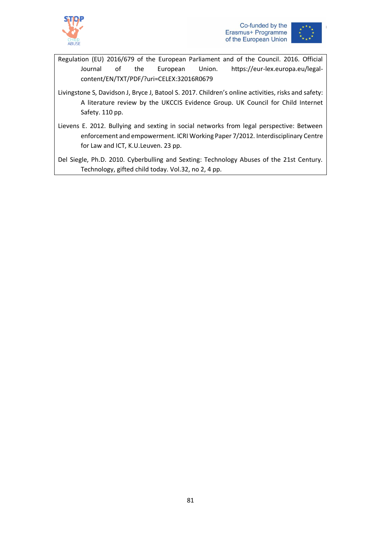



- Regulation (EU) 2016/679 of the European Parliament and of the Council. 2016. Official Journal of the European Union. https://eur-lex.europa.eu/legalcontent/EN/TXT/PDF/?uri=CELEX:32016R0679
- Livingstone S, Davidson J, Bryce J, Batool S. 2017. Children's online activities, risks and safety: A literature review by the UKCCIS Evidence Group. UK Council for Child Internet Safety. 110 pp.
- Lievens E. 2012. Bullying and sexting in social networks from legal perspective: Between enforcement and empowerment. ICRI Working Paper 7/2012. Interdisciplinary Centre for Law and ICT, K.U.Leuven. 23 pp.
- Del Siegle, Ph.D. 2010. Cyberbulling and Sexting: Technology Abuses of the 21st Century. Technology, gifted child today. Vol.32, no 2, 4 pp.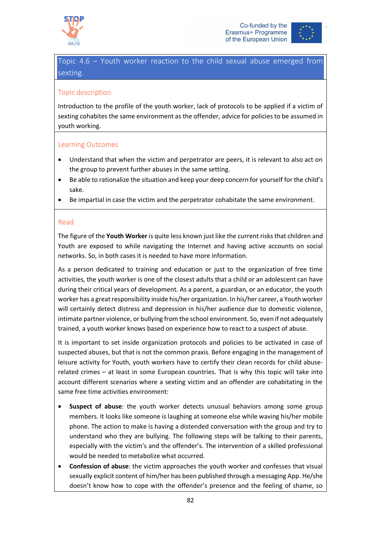



# Topic 4.6 – Youth worker reaction to the child sexual abuse emerged from sexting.

# Topic description

Introduction to the profile of the youth worker, lack of protocols to be applied if a victim of sexting cohabites the same environment as the offender, advice for policies to be assumed in youth working.

# Learning Outcomes

- Understand that when the victim and perpetrator are peers, it is relevant to also act on the group to prevent further abuses in the same setting.
- Be able to rationalize the situation and keep your deep concern for yourself for the child's sake.
- Be impartial in case the victim and the perpetrator cohabitate the same environment.

#### Read

The figure of the **Youth Worker** is quite less known just like the current risks that children and Youth are exposed to while navigating the Internet and having active accounts on social networks. So, in both cases it is needed to have more information.

As a person dedicated to training and education or just to the organization of free time activities, the youth worker is one of the closest adults that a child or an adolescent can have during their critical years of development. As a parent, a guardian, or an educator, the youth worker has a great responsibility inside his/her organization. In his/her career, a Youth worker will certainly detect distress and depression in his/her audience due to domestic violence, intimate partner violence, or bullying from the school environment. So, even if not adequately trained, a youth worker knows based on experience how to react to a suspect of abuse.

It is important to set inside organization protocols and policies to be activated in case of suspected abuses, but that is not the common praxis. Before engaging in the management of leisure activity for Youth, youth workers have to certify their clean records for child abuserelated crimes – at least in some European countries. That is why this topic will take into account different scenarios where a sexting victim and an offender are cohabitating in the same free time activities environment:

- **Suspect of abuse**: the youth worker detects unusual behaviors among some group members. It looks like someone is laughing at someone else while waving his/her mobile phone. The action to make is having a distended conversation with the group and try to understand who they are bullying. The following steps will be talking to their parents, especially with the victim's and the offender's. The intervention of a skilled professional would be needed to metabolize what occurred.
- **Confession of abuse**: the victim approaches the youth worker and confesses that visual sexually explicit content of him/her has been published through a messaging App. He/she doesn't know how to cope with the offender's presence and the feeling of shame, so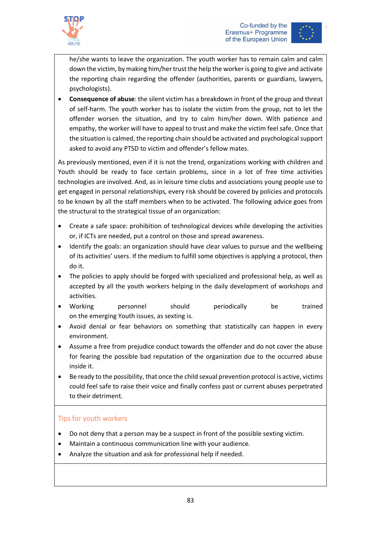



he/she wants to leave the organization. The youth worker has to remain calm and calm down the victim, by making him/her trust the help the worker is going to give and activate the reporting chain regarding the offender (authorities, parents or guardians, lawyers, psychologists).

• **Consequence of abuse**: the silent victim has a breakdown in front of the group and threat of self-harm. The youth worker has to isolate the victim from the group, not to let the offender worsen the situation, and try to calm him/her down. With patience and empathy, the worker will have to appeal to trust and make the victim feel safe. Once that the situation is calmed, the reporting chain should be activated and psychological support asked to avoid any PTSD to victim and offender's fellow mates.

As previously mentioned, even if it is not the trend, organizations working with children and Youth should be ready to face certain problems, since in a lot of free time activities technologies are involved. And, as in leisure time clubs and associations young people use to get engaged in personal relationships, every risk should be covered by policies and protocols to be known by all the staff members when to be activated. The following advice goes from the structural to the strategical tissue of an organization:

- Create a safe space: prohibition of technological devices while developing the activities or, if ICTs are needed, put a control on those and spread awareness.
- Identify the goals: an organization should have clear values to pursue and the wellbeing of its activities' users. If the medium to fulfill some objectives is applying a protocol, then do it.
- The policies to apply should be forged with specialized and professional help, as well as accepted by all the youth workers helping in the daily development of workshops and activities.
- Working personnel should periodically be trained on the emerging Youth issues, as sexting is.
- Avoid denial or fear behaviors on something that statistically can happen in every environment.
- Assume a free from prejudice conduct towards the offender and do not cover the abuse for fearing the possible bad reputation of the organization due to the occurred abuse inside it.
- Be ready to the possibility, that once the child sexual prevention protocol is active, victims could feel safe to raise their voice and finally confess past or current abuses perpetrated to their detriment.

#### Tips for youth workers

- Do not deny that a person may be a suspect in front of the possible sexting victim.
- Maintain a continuous communication line with your audience.
- Analyze the situation and ask for professional help if needed.